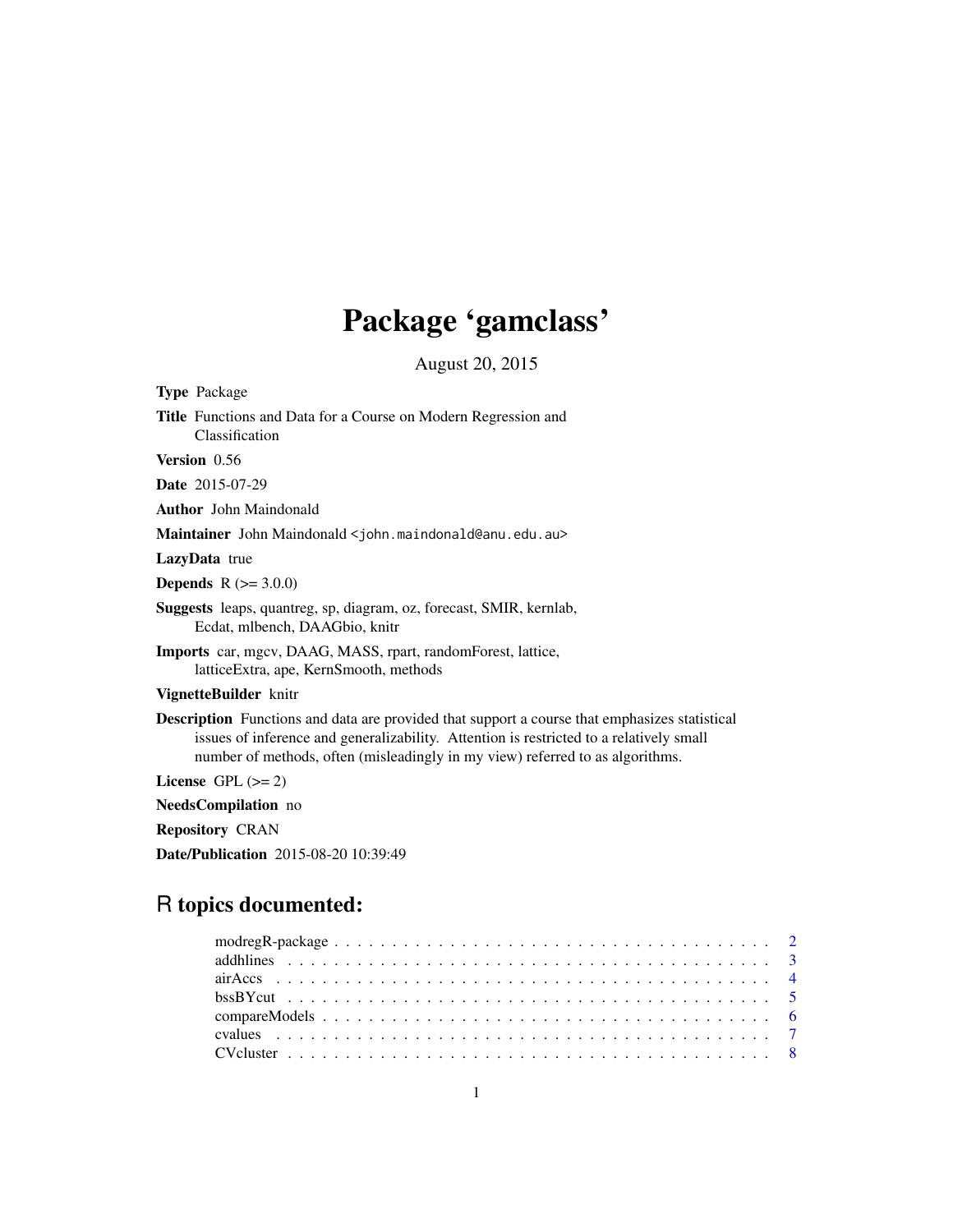## Package 'gamclass'

August 20, 2015

<span id="page-0-0"></span>Type Package Title Functions and Data for a Course on Modern Regression and Classification

Version 0.56

Date 2015-07-29

Author John Maindonald

Maintainer John Maindonald <john.maindonald@anu.edu.au>

LazyData true

**Depends**  $R (= 3.0.0)$ 

Suggests leaps, quantreg, sp, diagram, oz, forecast, SMIR, kernlab, Ecdat, mlbench, DAAGbio, knitr

Imports car, mgcv, DAAG, MASS, rpart, randomForest, lattice, latticeExtra, ape, KernSmooth, methods

VignetteBuilder knitr

Description Functions and data are provided that support a course that emphasizes statistical issues of inference and generalizability. Attention is restricted to a relatively small number of methods, often (misleadingly in my view) referred to as algorithms.

License GPL  $(>= 2)$ 

NeedsCompilation no

Repository CRAN

Date/Publication 2015-08-20 10:39:49

## R topics documented: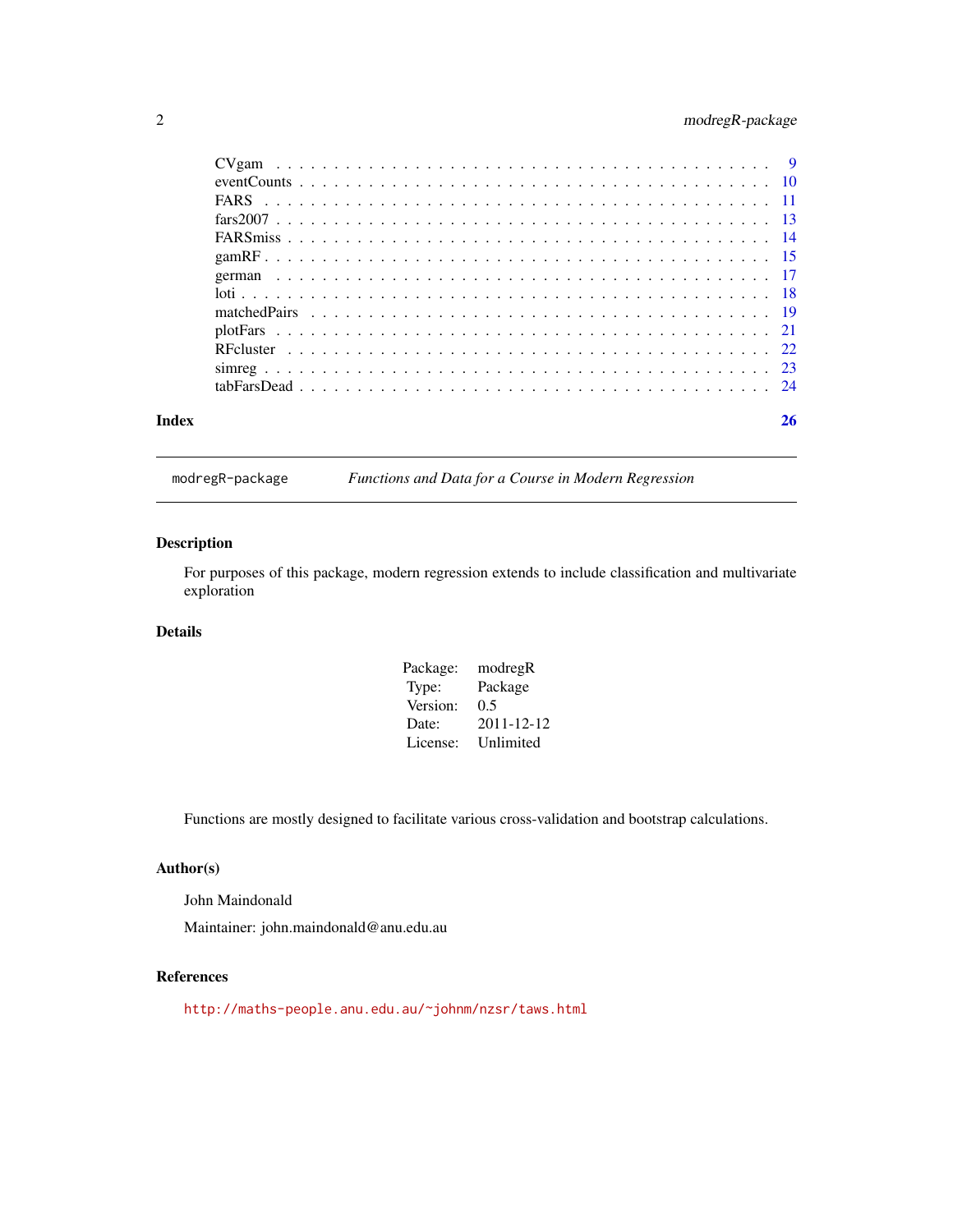## <span id="page-1-0"></span>2 modregR-package

| Index |  |  |  |  |  |  |  |  |  |  |  |  |  |  |  |  |  | 26 |
|-------|--|--|--|--|--|--|--|--|--|--|--|--|--|--|--|--|--|----|

modregR-package *Functions and Data for a Course in Modern Regression*

## Description

For purposes of this package, modern regression extends to include classification and multivariate exploration

#### Details

| Package: | modregR    |
|----------|------------|
| Type:    | Package    |
| Version: | 0.5        |
| Date:    | 2011-12-12 |
| License: | Unlimited  |

Functions are mostly designed to facilitate various cross-validation and bootstrap calculations.

## Author(s)

John Maindonald

Maintainer: john.maindonald@anu.edu.au

## References

<http://maths-people.anu.edu.au/~johnm/nzsr/taws.html>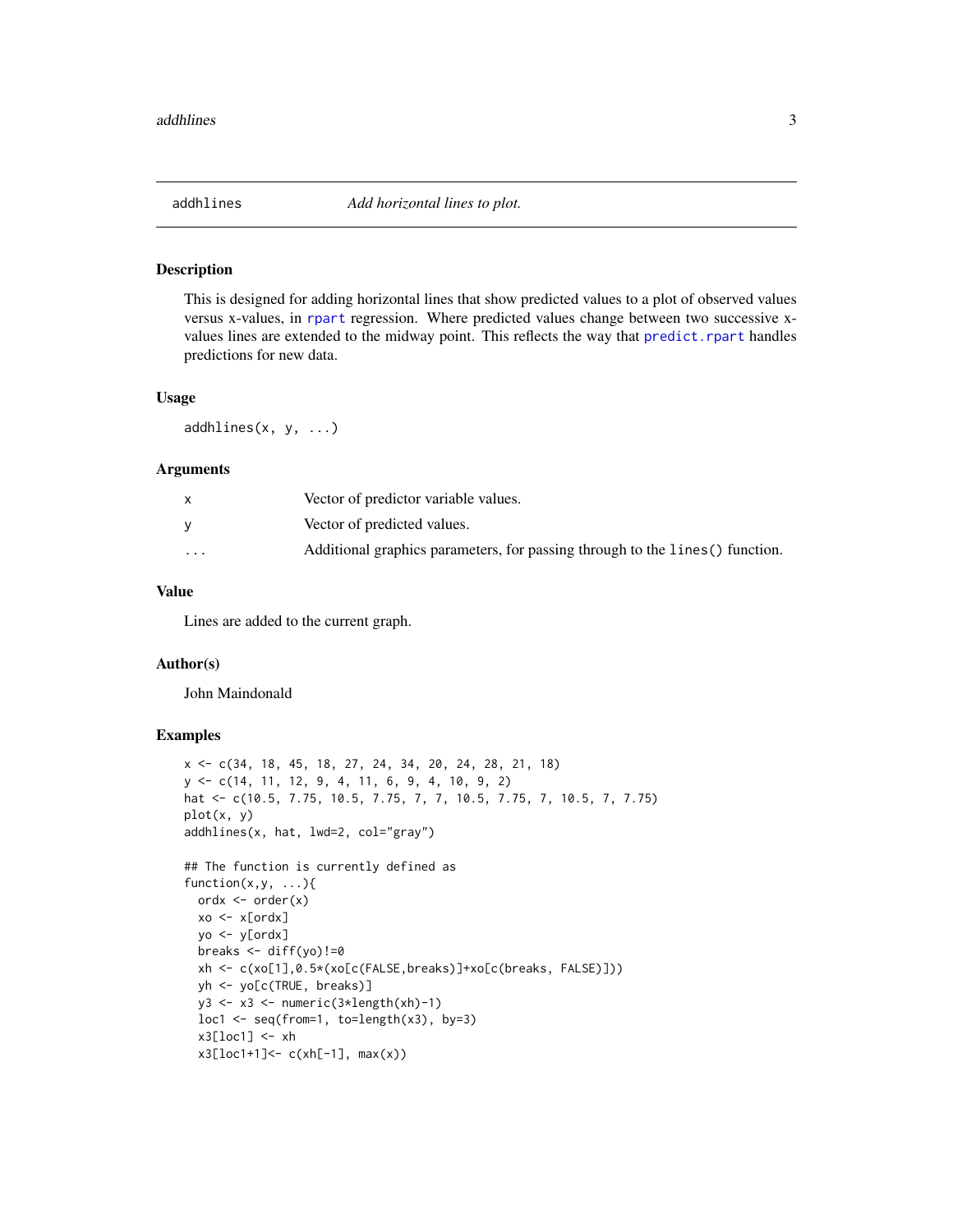<span id="page-2-0"></span>

#### Description

This is designed for adding horizontal lines that show predicted values to a plot of observed values versus x-values, in [rpart](#page-0-0) regression. Where predicted values change between two successive xvalues lines are extended to the midway point. This reflects the way that [predict.rpart](#page-0-0) handles predictions for new data.

#### Usage

 $addhlines(x, y, ...)$ 

#### Arguments

| X        | Vector of predictor variable values.                                          |
|----------|-------------------------------------------------------------------------------|
|          | Vector of predicted values.                                                   |
| $\cdots$ | Additional graphics parameters, for passing through to the lines () function. |

## Value

Lines are added to the current graph.

#### Author(s)

John Maindonald

## Examples

```
x <- c(34, 18, 45, 18, 27, 24, 34, 20, 24, 28, 21, 18)
y <- c(14, 11, 12, 9, 4, 11, 6, 9, 4, 10, 9, 2)
hat <- c(10.5, 7.75, 10.5, 7.75, 7, 7, 10.5, 7.75, 7, 10.5, 7, 7.75)
plot(x, y)
addhlines(x, hat, lwd=2, col="gray")
## The function is currently defined as
function(x, y, \ldots)ordx <- order(x)
  xo <- x[ordx]
  yo <- y[ordx]
  breaks \leq diff(yo)!=0
  xh <- c(xo[1],0.5*(xo[c(FALSE,breaks)]+xo[c(breaks, FALSE)]))
  yh <- yo[c(TRUE, breaks)]
  y3 <- x3 <- numeric(3*length(xh)-1)
  loc1 \leftarrow seq(from=1, to=length(x3), by=3)x3[loc1] < -xhx3[loc1+1]<-c(xh[-1], max(x))
```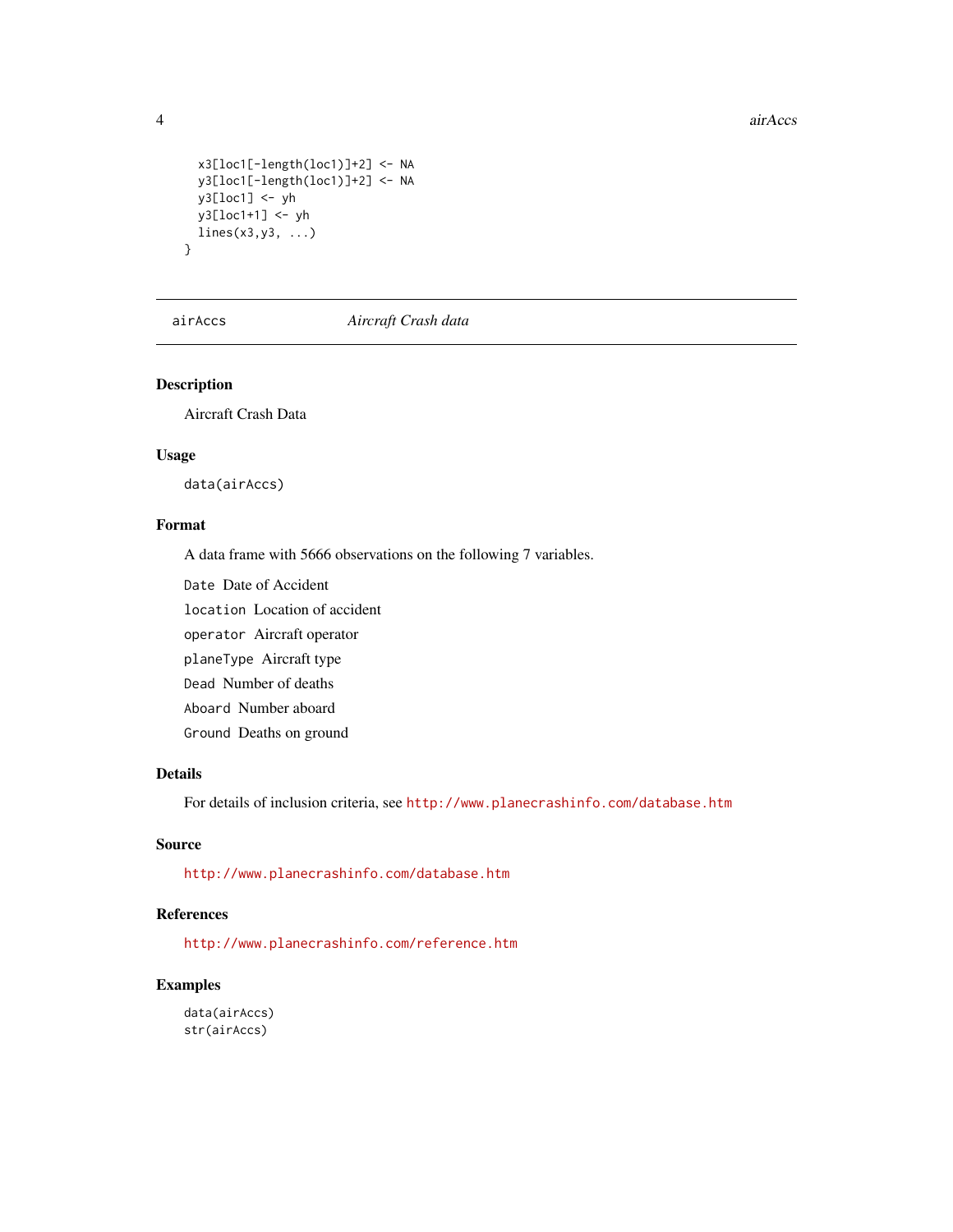4 air Accs and the state of the state of the state of the state of the state of the state of the state of the state of the state of the state of the state of the state of the state of the state of the state of the state of

```
x3[loc1[-length(loc1)]+2] <- NA
 y3[loc1[-length(loc1)]+2] <- NA
 y3[loc1] <- yh
 y3[loc1+1] <- yh
 lines(x3,y3, ...)
}
```
airAccs *Aircraft Crash data*

## Description

Aircraft Crash Data

### Usage

data(airAccs)

### Format

A data frame with 5666 observations on the following 7 variables.

Date Date of Accident

location Location of accident

operator Aircraft operator

planeType Aircraft type

Dead Number of deaths

Aboard Number aboard

Ground Deaths on ground

### Details

For details of inclusion criteria, see <http://www.planecrashinfo.com/database.htm>

## Source

<http://www.planecrashinfo.com/database.htm>

## References

<http://www.planecrashinfo.com/reference.htm>

## Examples

data(airAccs) str(airAccs)

<span id="page-3-0"></span>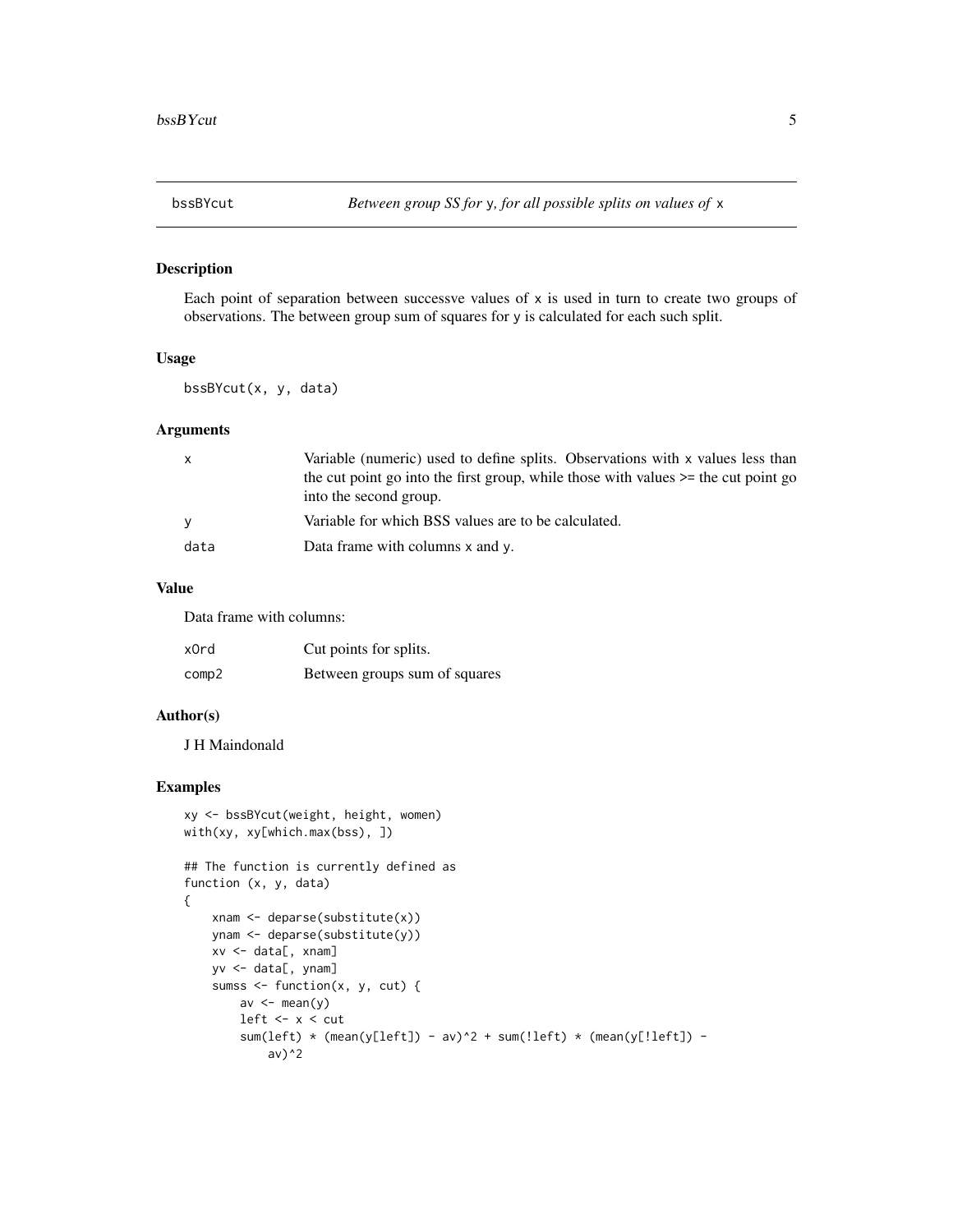<span id="page-4-0"></span>

#### Description

Each point of separation between successve values of  $x$  is used in turn to create two groups of observations. The between group sum of squares for y is calculated for each such split.

## Usage

bssBYcut(x, y, data)

#### Arguments

| $\mathsf{x}$ | Variable (numeric) used to define splits. Observations with x values less than          |
|--------------|-----------------------------------------------------------------------------------------|
|              | the cut point go into the first group, while those with values $\ge$ = the cut point go |
|              | into the second group.                                                                  |
| <b>V</b>     | Variable for which BSS values are to be calculated.                                     |
| data         | Data frame with columns x and y.                                                        |
|              |                                                                                         |

#### Value

Data frame with columns:

| x0rd  | Cut points for splits.        |
|-------|-------------------------------|
| comp2 | Between groups sum of squares |

### Author(s)

J H Maindonald

## Examples

```
xy <- bssBYcut(weight, height, women)
with(xy, xy[which.max(bss), ])
## The function is currently defined as
function (x, y, data)
{
    xnam <- deparse(substitute(x))
    ynam <- deparse(substitute(y))
    xv <- data[, xnam]
    yv <- data[, ynam]
    sumss \leq function(x, y, cut) {
        av \leftarrow mean(y)
        left <- x < cut
        sum(left) * (mean(y[left]) - av)^2 + sum(!left) * (mean(y[!left]) -
            av)^2
```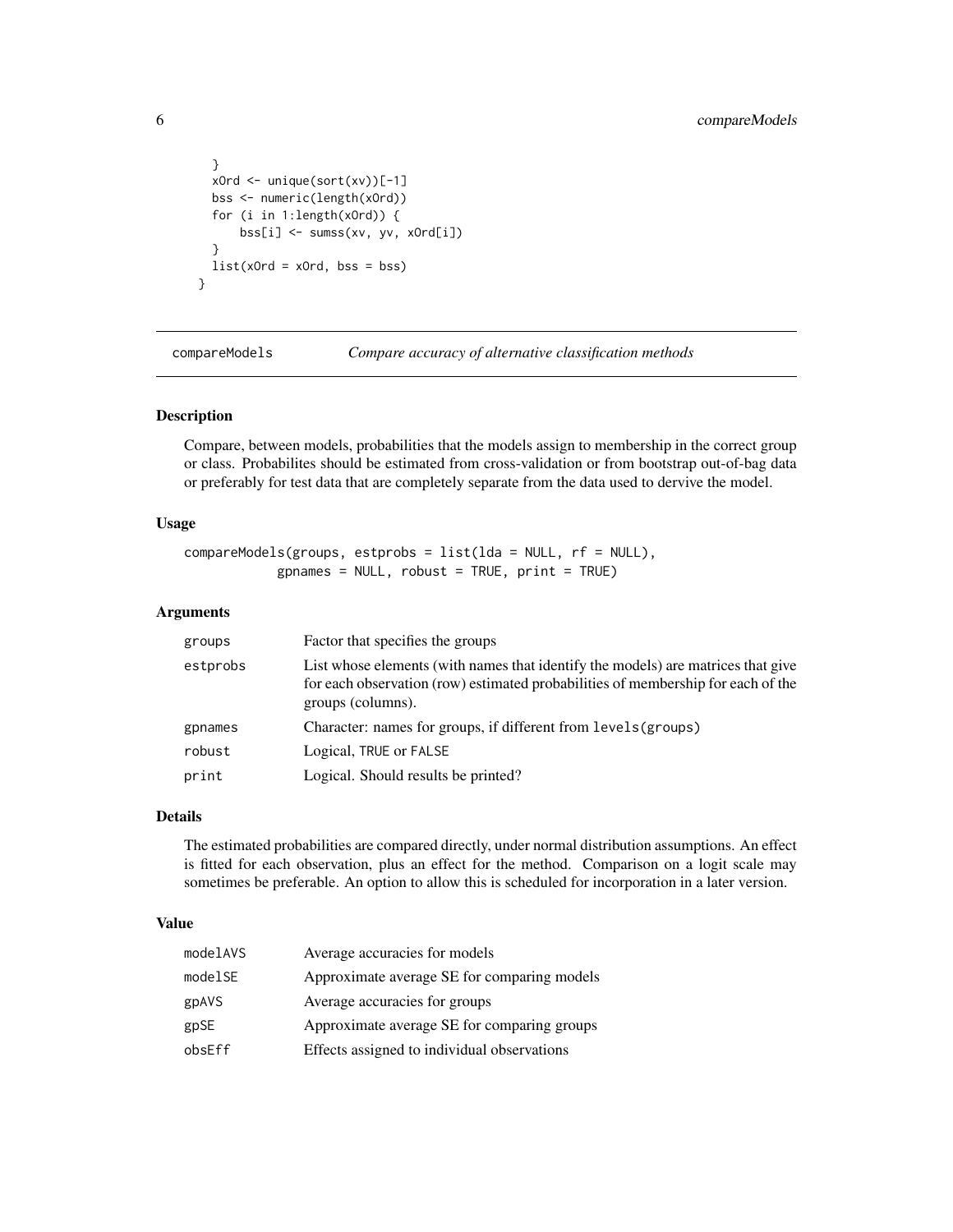```
}
  xOrd <- unique(sort(xv))[-1]
  bss <- numeric(length(xOrd))
  for (i in 1:length(xOrd)) {
     bss[i] <- sumss(xv, yv, xOrd[i])
  }
  list(xOrd = xOrd, bss = bss)}
```
compareModels *Compare accuracy of alternative classification methods*

#### Description

Compare, between models, probabilities that the models assign to membership in the correct group or class. Probabilites should be estimated from cross-validation or from bootstrap out-of-bag data or preferably for test data that are completely separate from the data used to dervive the model.

## Usage

```
compareModels(groups, estprobs = list(lda = NULL, rf = NULL),
            gpnames = NULL, robust = TRUE, print = TRUE)
```
#### Arguments

| groups   | Factor that specifies the groups                                                                                                                                                          |
|----------|-------------------------------------------------------------------------------------------------------------------------------------------------------------------------------------------|
| estprobs | List whose elements (with names that identify the models) are matrices that give<br>for each observation (row) estimated probabilities of membership for each of the<br>groups (columns). |
| gpnames  | Character: names for groups, if different from levels (groups)                                                                                                                            |
| robust   | Logical, TRUE or FALSE                                                                                                                                                                    |
| print    | Logical. Should results be printed?                                                                                                                                                       |

#### Details

The estimated probabilities are compared directly, under normal distribution assumptions. An effect is fitted for each observation, plus an effect for the method. Comparison on a logit scale may sometimes be preferable. An option to allow this is scheduled for incorporation in a later version.

## Value

| modelAVS | Average accuracies for models               |
|----------|---------------------------------------------|
| modelSE  | Approximate average SE for comparing models |
| gpAVS    | Average accuracies for groups               |
| gpSE     | Approximate average SE for comparing groups |
| obsEff   | Effects assigned to individual observations |

<span id="page-5-0"></span>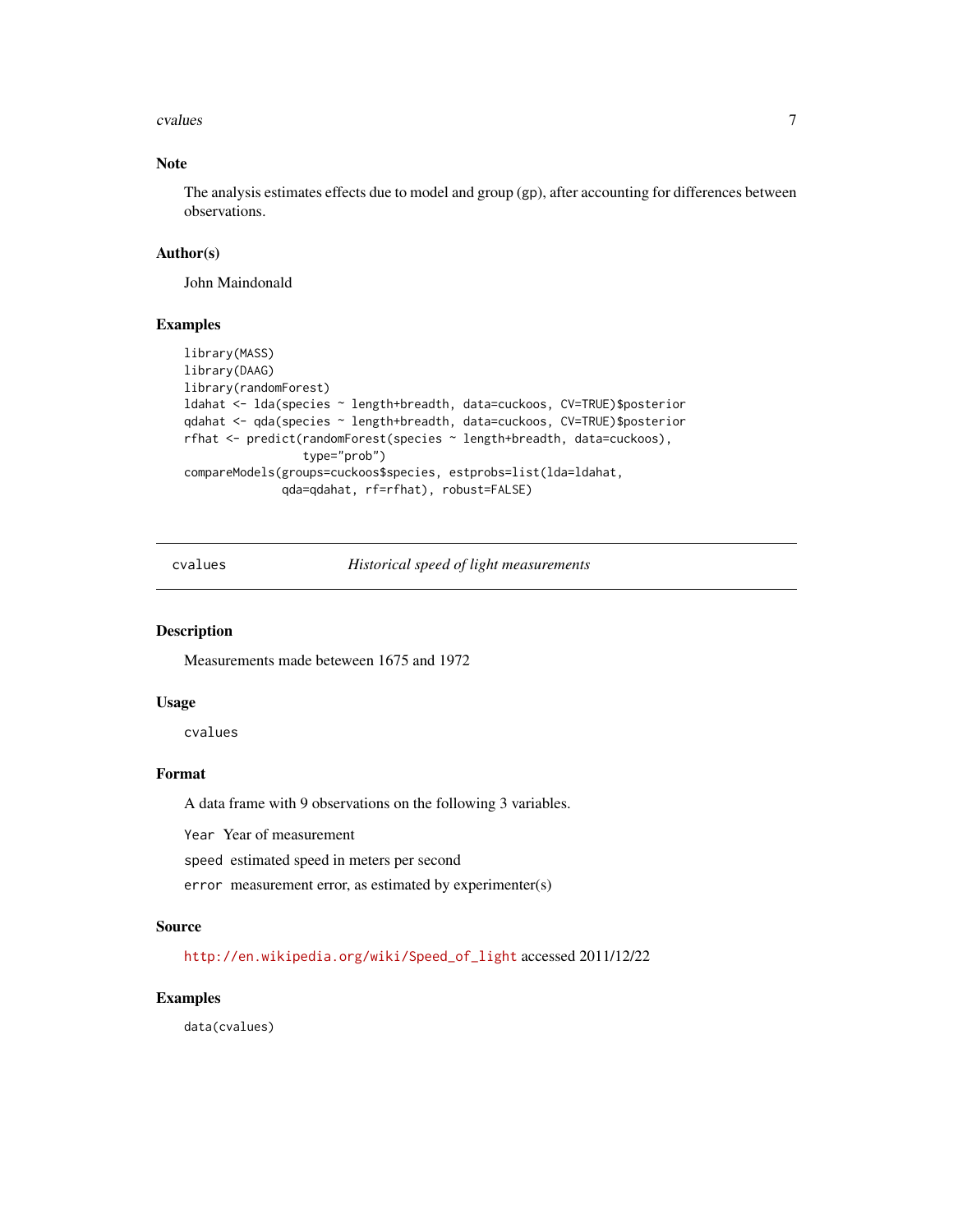#### <span id="page-6-0"></span>cvalues **7**

## Note

The analysis estimates effects due to model and group (gp), after accounting for differences between observations.

#### Author(s)

John Maindonald

## Examples

```
library(MASS)
library(DAAG)
library(randomForest)
ldahat <- lda(species ~ length+breadth, data=cuckoos, CV=TRUE)$posterior
qdahat <- qda(species ~ length+breadth, data=cuckoos, CV=TRUE)$posterior
rfhat <- predict(randomForest(species ~ length+breadth, data=cuckoos),
                 type="prob")
compareModels(groups=cuckoos$species, estprobs=list(lda=ldahat,
              qda=qdahat, rf=rfhat), robust=FALSE)
```
cvalues *Historical speed of light measurements*

#### Description

Measurements made beteween 1675 and 1972

#### Usage

cvalues

## Format

A data frame with 9 observations on the following 3 variables.

Year Year of measurement

speed estimated speed in meters per second

error measurement error, as estimated by experimenter(s)

#### Source

[http://en.wikipedia.org/wiki/Speed\\_of\\_light](http://en.wikipedia.org/wiki/Speed_of_light) accessed 2011/12/22

#### Examples

data(cvalues)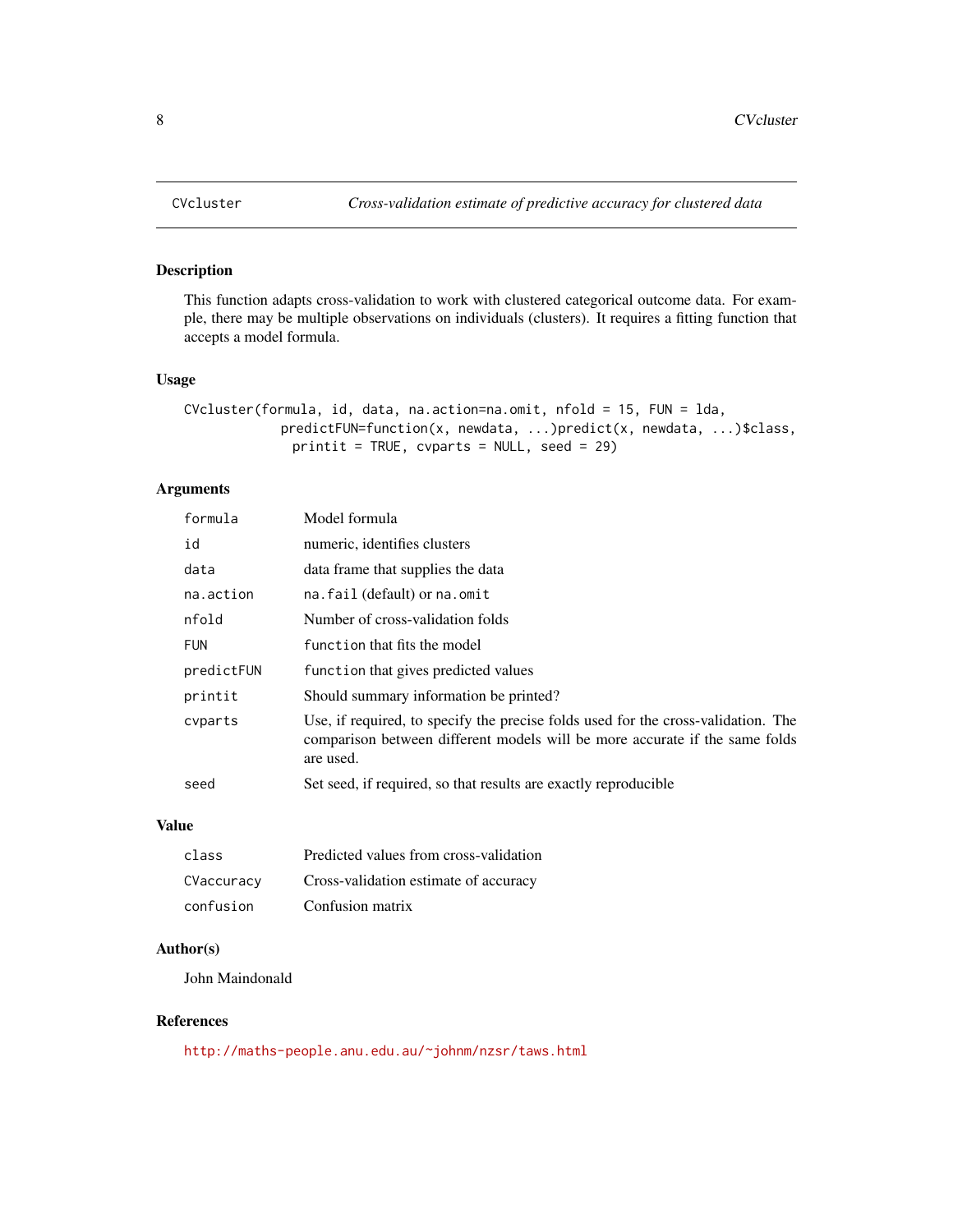<span id="page-7-0"></span>

#### Description

This function adapts cross-validation to work with clustered categorical outcome data. For example, there may be multiple observations on individuals (clusters). It requires a fitting function that accepts a model formula.

### Usage

```
CVcluster(formula, id, data, na.action=na.omit, nfold = 15, FUN = lda,
            predictFUN=function(x, newdata, ...)predict(x, newdata, ...)$class,
              printit = TRUE, cvparts = NULL, seed = 29)
```
## Arguments

| formula    | Model formula                                                                                                                                                                 |
|------------|-------------------------------------------------------------------------------------------------------------------------------------------------------------------------------|
| id         | numeric, identifies clusters                                                                                                                                                  |
| data       | data frame that supplies the data                                                                                                                                             |
| na.action  | na.fail (default) or na.omit                                                                                                                                                  |
| nfold      | Number of cross-validation folds                                                                                                                                              |
| <b>FUN</b> | function that fits the model                                                                                                                                                  |
| predictFUN | function that gives predicted values                                                                                                                                          |
| printit    | Should summary information be printed?                                                                                                                                        |
| cyparts    | Use, if required, to specify the precise folds used for the cross-validation. The<br>comparison between different models will be more accurate if the same folds<br>are used. |
| seed       | Set seed, if required, so that results are exactly reproducible                                                                                                               |

#### Value

| class      | Predicted values from cross-validation |
|------------|----------------------------------------|
| CVaccuracy | Cross-validation estimate of accuracy  |
| confusion  | Confusion matrix                       |

### Author(s)

John Maindonald

## References

<http://maths-people.anu.edu.au/~johnm/nzsr/taws.html>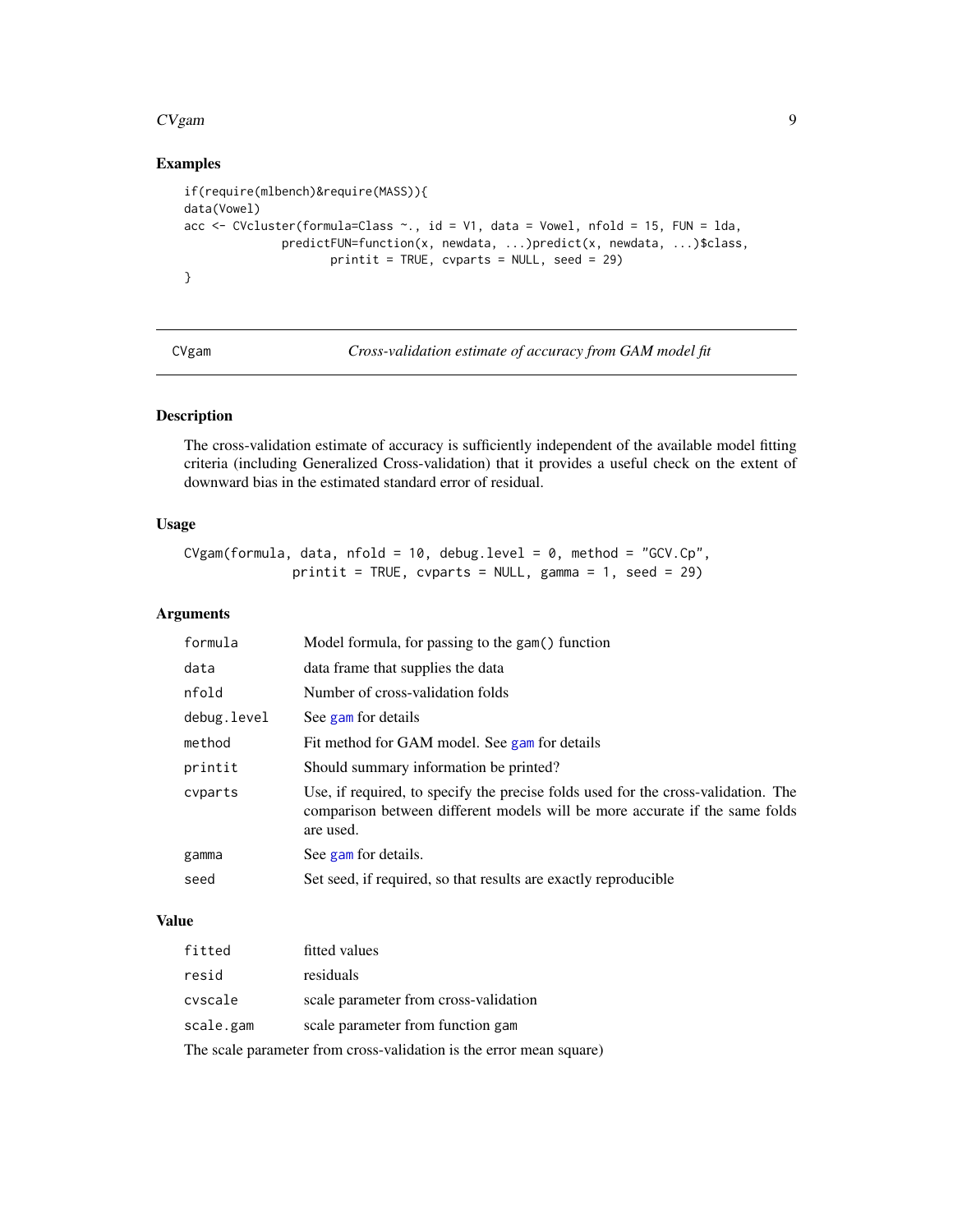#### <span id="page-8-0"></span> $CVgam$  9

## Examples

```
if(require(mlbench)&require(MASS)){
data(Vowel)
acc \leq CVcluster(formula=Class \sim, id = V1, data = Vowel, nfold = 15, FUN = lda,
              predictFUN=function(x, newdata, ...)predict(x, newdata, ...)$class,
                     printit = TRUE, cvparts = NULL, seed = 29)
}
```
<span id="page-8-1"></span>CVgam *Cross-validation estimate of accuracy from GAM model fit*

## Description

The cross-validation estimate of accuracy is sufficiently independent of the available model fitting criteria (including Generalized Cross-validation) that it provides a useful check on the extent of downward bias in the estimated standard error of residual.

#### Usage

CVgam(formula, data, nfold = 10, debug.level = 0, method = "GCV.Cp", printit = TRUE, cvparts = NULL, gamma = 1, seed = 29)

#### Arguments

| formula     | Model formula, for passing to the gam() function                                                                                                                              |
|-------------|-------------------------------------------------------------------------------------------------------------------------------------------------------------------------------|
| data        | data frame that supplies the data                                                                                                                                             |
| nfold       | Number of cross-validation folds                                                                                                                                              |
| debug.level | See gam for details                                                                                                                                                           |
| method      | Fit method for GAM model. See gam for details                                                                                                                                 |
| printit     | Should summary information be printed?                                                                                                                                        |
| cyparts     | Use, if required, to specify the precise folds used for the cross-validation. The<br>comparison between different models will be more accurate if the same folds<br>are used. |
| gamma       | See gam for details.                                                                                                                                                          |
| seed        | Set seed, if required, so that results are exactly reproducible                                                                                                               |

## Value

| fitted    | fitted values                         |
|-----------|---------------------------------------|
| resid     | residuals                             |
| cvscale   | scale parameter from cross-validation |
| scale.gam | scale parameter from function gam     |
|           |                                       |

The scale parameter from cross-validation is the error mean square)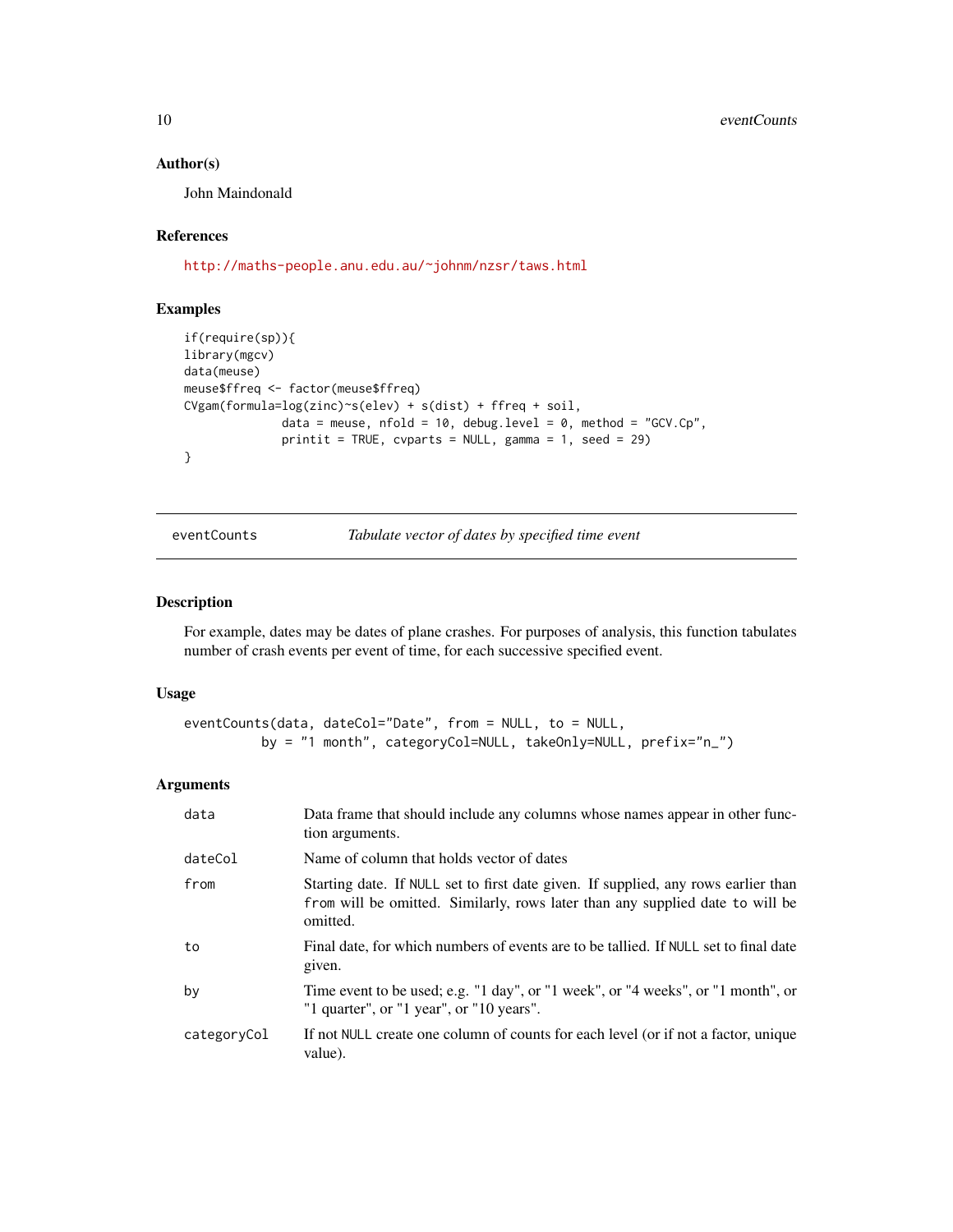#### Author(s)

John Maindonald

## References

<http://maths-people.anu.edu.au/~johnm/nzsr/taws.html>

## Examples

```
if(require(sp)){
library(mgcv)
data(meuse)
meuse$ffreq <- factor(meuse$ffreq)
CVgam(formula=log(zinc)~s(elev) + s(dist) + ffreq + soil,
              data = meuse, nfold = 10, debug.level = 0, method = "GCV.Cp",
              printit = TRUE, cvparts = NULL, gamma = 1, seed = 29)
}
```
eventCounts *Tabulate vector of dates by specified time event*

### Description

For example, dates may be dates of plane crashes. For purposes of analysis, this function tabulates number of crash events per event of time, for each successive specified event.

#### Usage

```
eventCounts(data, dateCol="Date", from = NULL, to = NULL,
          by = "1 month", categoryCol=NULL, takeOnly=NULL, prefix="n_")
```
#### Arguments

| data        | Data frame that should include any columns whose names appear in other func-<br>tion arguments.                                                                                 |
|-------------|---------------------------------------------------------------------------------------------------------------------------------------------------------------------------------|
| dateCol     | Name of column that holds vector of dates                                                                                                                                       |
| from        | Starting date. If NULL set to first date given. If supplied, any rows earlier than<br>from will be omitted. Similarly, rows later than any supplied date to will be<br>omitted. |
| to          | Final date, for which numbers of events are to be tallied. If NULL set to final date<br>given.                                                                                  |
| by          | Time event to be used; e.g. "1 day", or "1 week", or "4 weeks", or "1 month", or<br>"1 quarter", or "1 year", or "10 years".                                                    |
| categoryCol | If not NULL create one column of counts for each level (or if not a factor, unique<br>value).                                                                                   |

<span id="page-9-0"></span>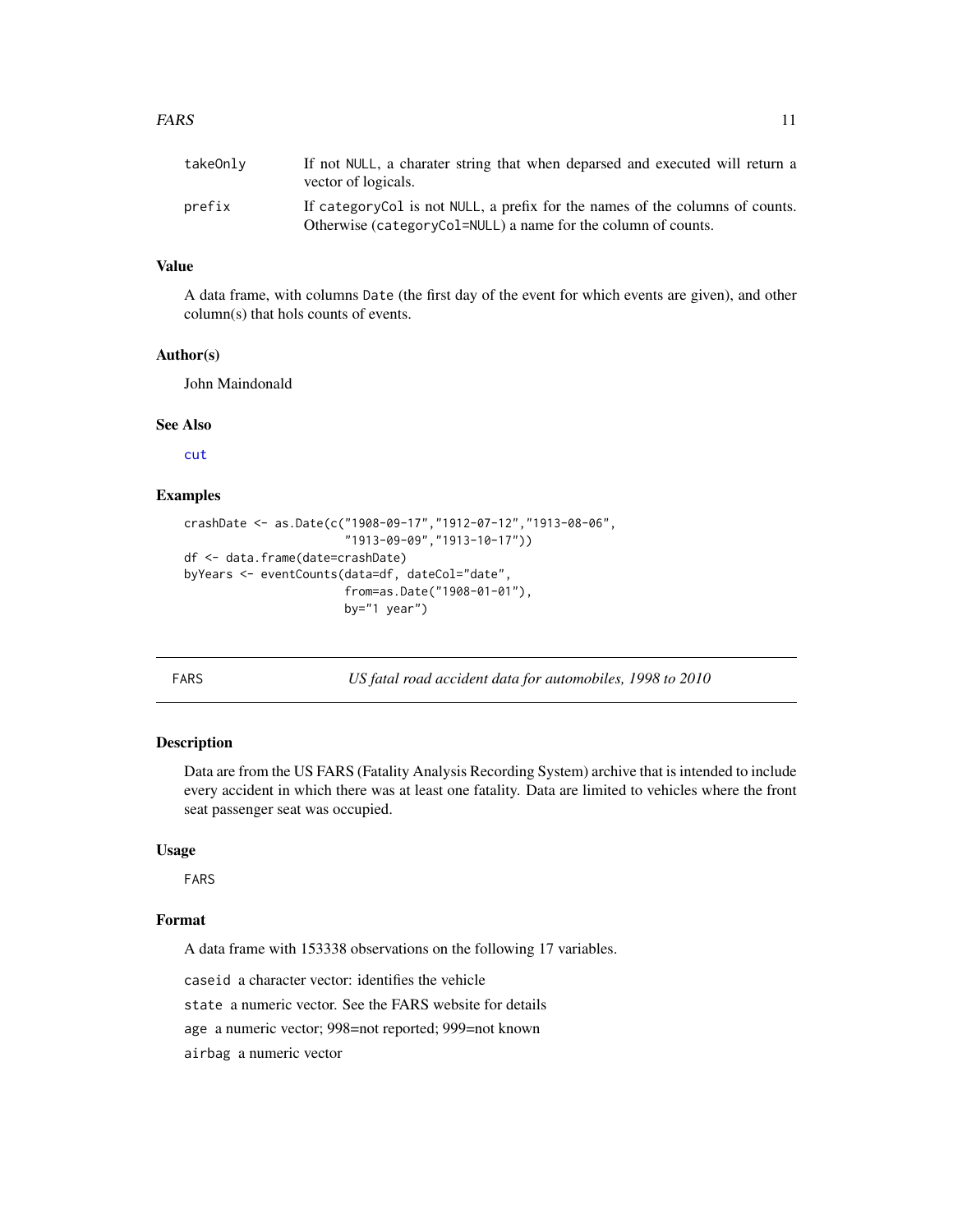<span id="page-10-0"></span>

| takeOnly | If not NULL, a charater string that when deparsed and executed will return a<br>vector of logicals.                                            |
|----------|------------------------------------------------------------------------------------------------------------------------------------------------|
| prefix   | If category Col is not NULL, a prefix for the names of the columns of counts.<br>Otherwise (categoryCol=NULL) a name for the column of counts. |

## Value

A data frame, with columns Date (the first day of the event for which events are given), and other column(s) that hols counts of events.

#### Author(s)

John Maindonald

#### See Also

[cut](#page-0-0)

### Examples

```
crashDate <- as.Date(c("1908-09-17","1912-07-12","1913-08-06",
                       "1913-09-09","1913-10-17"))
df <- data.frame(date=crashDate)
byYears <- eventCounts(data=df, dateCol="date",
                       from=as.Date("1908-01-01"),
                       by="1 year")
```
<span id="page-10-1"></span>FARS *US fatal road accident data for automobiles, 1998 to 2010*

## **Description**

Data are from the US FARS (Fatality Analysis Recording System) archive that is intended to include every accident in which there was at least one fatality. Data are limited to vehicles where the front seat passenger seat was occupied.

#### Usage

FARS

## Format

A data frame with 153338 observations on the following 17 variables.

caseid a character vector: identifies the vehicle

state a numeric vector. See the FARS website for details

age a numeric vector; 998=not reported; 999=not known

airbag a numeric vector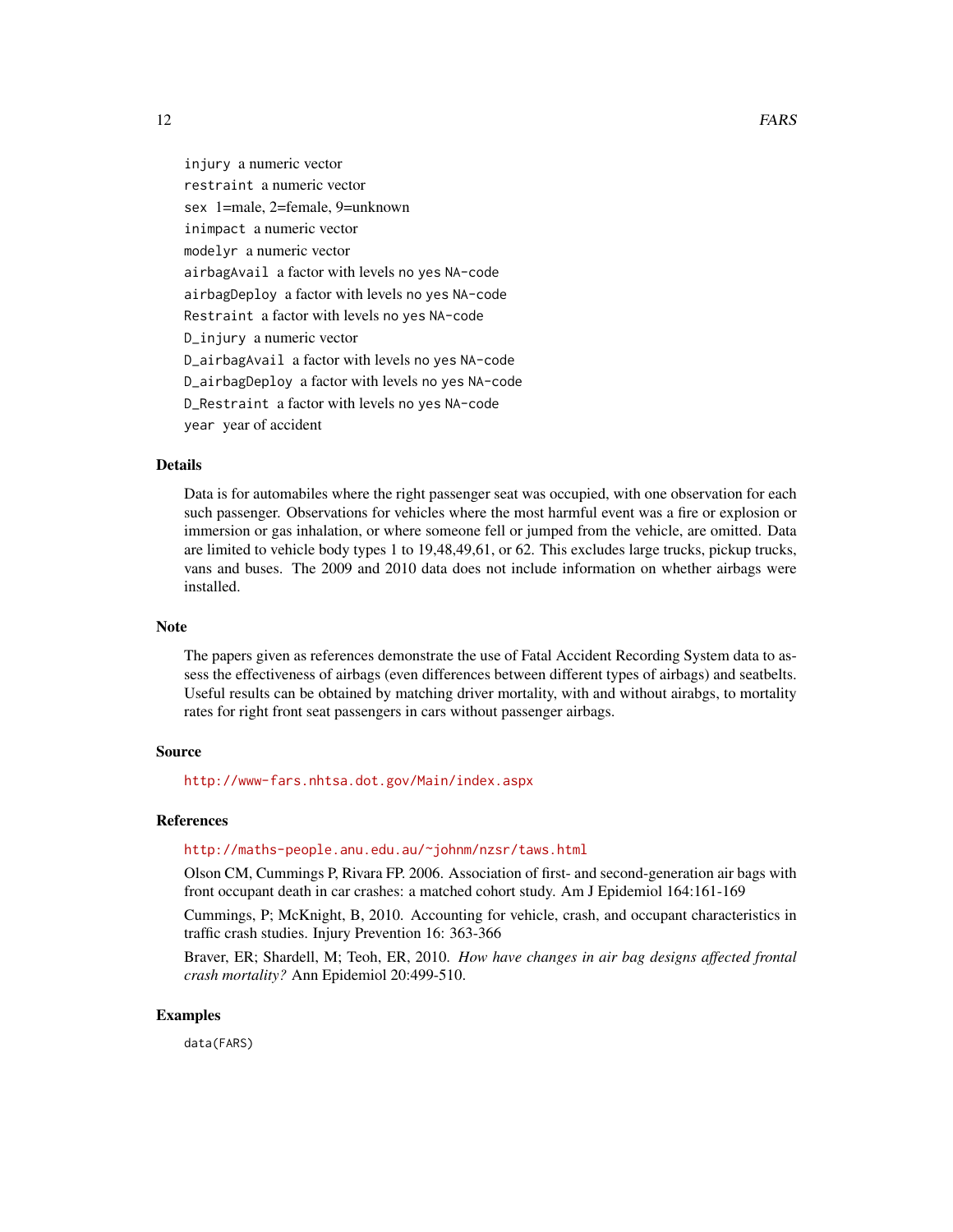injury a numeric vector restraint a numeric vector sex 1=male, 2=female, 9=unknown inimpact a numeric vector modelyr a numeric vector airbagAvail a factor with levels no yes NA-code airbagDeploy a factor with levels no yes NA-code Restraint a factor with levels no yes NA-code D\_injury a numeric vector D\_airbagAvail a factor with levels no yes NA-code D\_airbagDeploy a factor with levels no yes NA-code D\_Restraint a factor with levels no yes NA-code year year of accident

#### Details

Data is for automabiles where the right passenger seat was occupied, with one observation for each such passenger. Observations for vehicles where the most harmful event was a fire or explosion or immersion or gas inhalation, or where someone fell or jumped from the vehicle, are omitted. Data are limited to vehicle body types 1 to 19,48,49,61, or 62. This excludes large trucks, pickup trucks, vans and buses. The 2009 and 2010 data does not include information on whether airbags were installed.

#### Note

The papers given as references demonstrate the use of Fatal Accident Recording System data to assess the effectiveness of airbags (even differences between different types of airbags) and seatbelts. Useful results can be obtained by matching driver mortality, with and without airabgs, to mortality rates for right front seat passengers in cars without passenger airbags.

## Source

<http://www-fars.nhtsa.dot.gov/Main/index.aspx>

#### References

#### <http://maths-people.anu.edu.au/~johnm/nzsr/taws.html>

Olson CM, Cummings P, Rivara FP. 2006. Association of first- and second-generation air bags with front occupant death in car crashes: a matched cohort study. Am J Epidemiol 164:161-169

Cummings, P; McKnight, B, 2010. Accounting for vehicle, crash, and occupant characteristics in traffic crash studies. Injury Prevention 16: 363-366

Braver, ER; Shardell, M; Teoh, ER, 2010. *How have changes in air bag designs affected frontal crash mortality?* Ann Epidemiol 20:499-510.

#### Examples

data(FARS)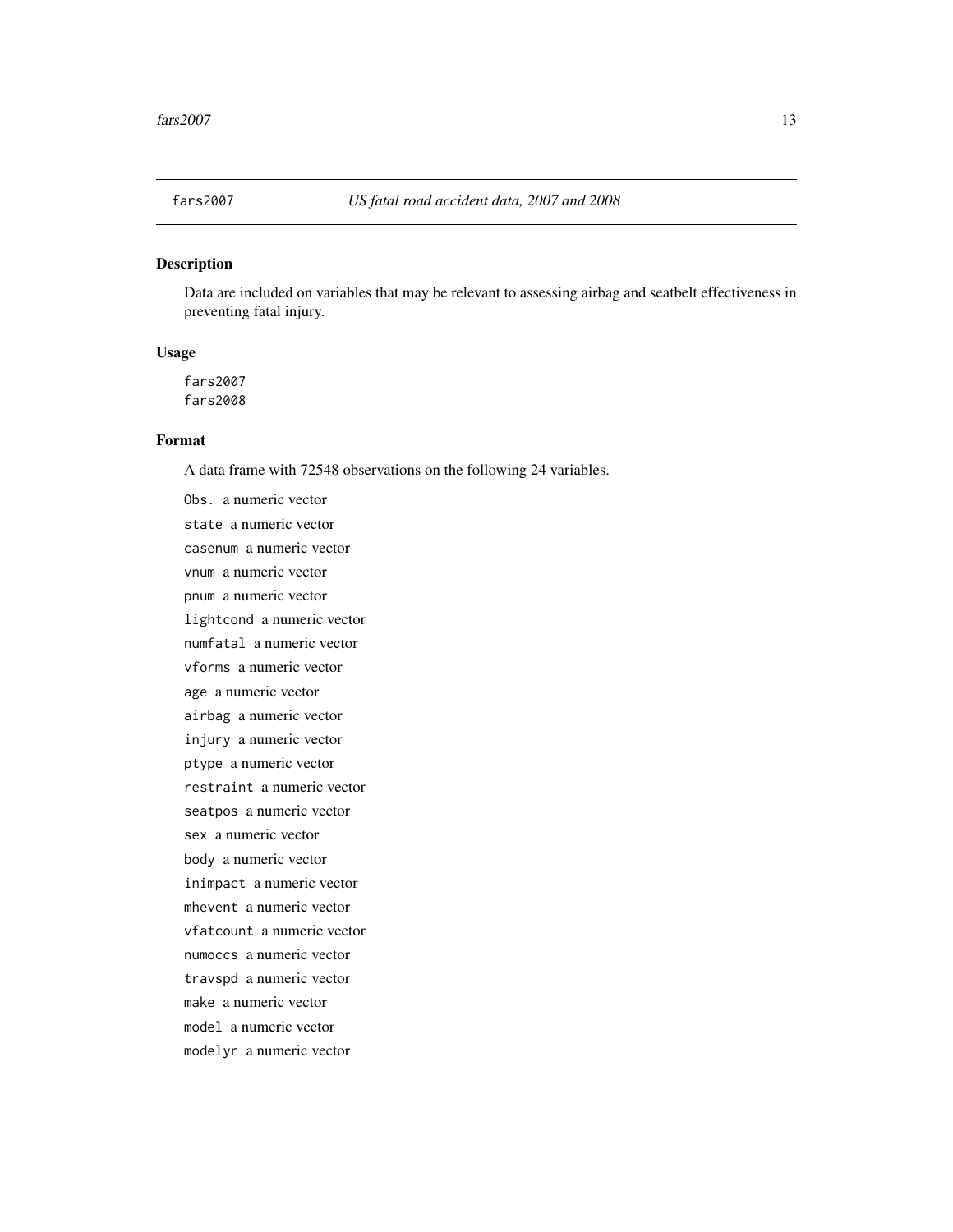<span id="page-12-0"></span>

#### Description

Data are included on variables that may be relevant to assessing airbag and seatbelt effectiveness in preventing fatal injury.

#### Usage

fars2007 fars2008

#### Format

A data frame with 72548 observations on the following 24 variables.

Obs. a numeric vector state a numeric vector casenum a numeric vector vnum a numeric vector pnum a numeric vector lightcond a numeric vector numfatal a numeric vector vforms a numeric vector age a numeric vector airbag a numeric vector injury a numeric vector ptype a numeric vector restraint a numeric vector seatpos a numeric vector sex a numeric vector body a numeric vector inimpact a numeric vector mhevent a numeric vector vfatcount a numeric vector numoccs a numeric vector travspd a numeric vector make a numeric vector model a numeric vector modelyr a numeric vector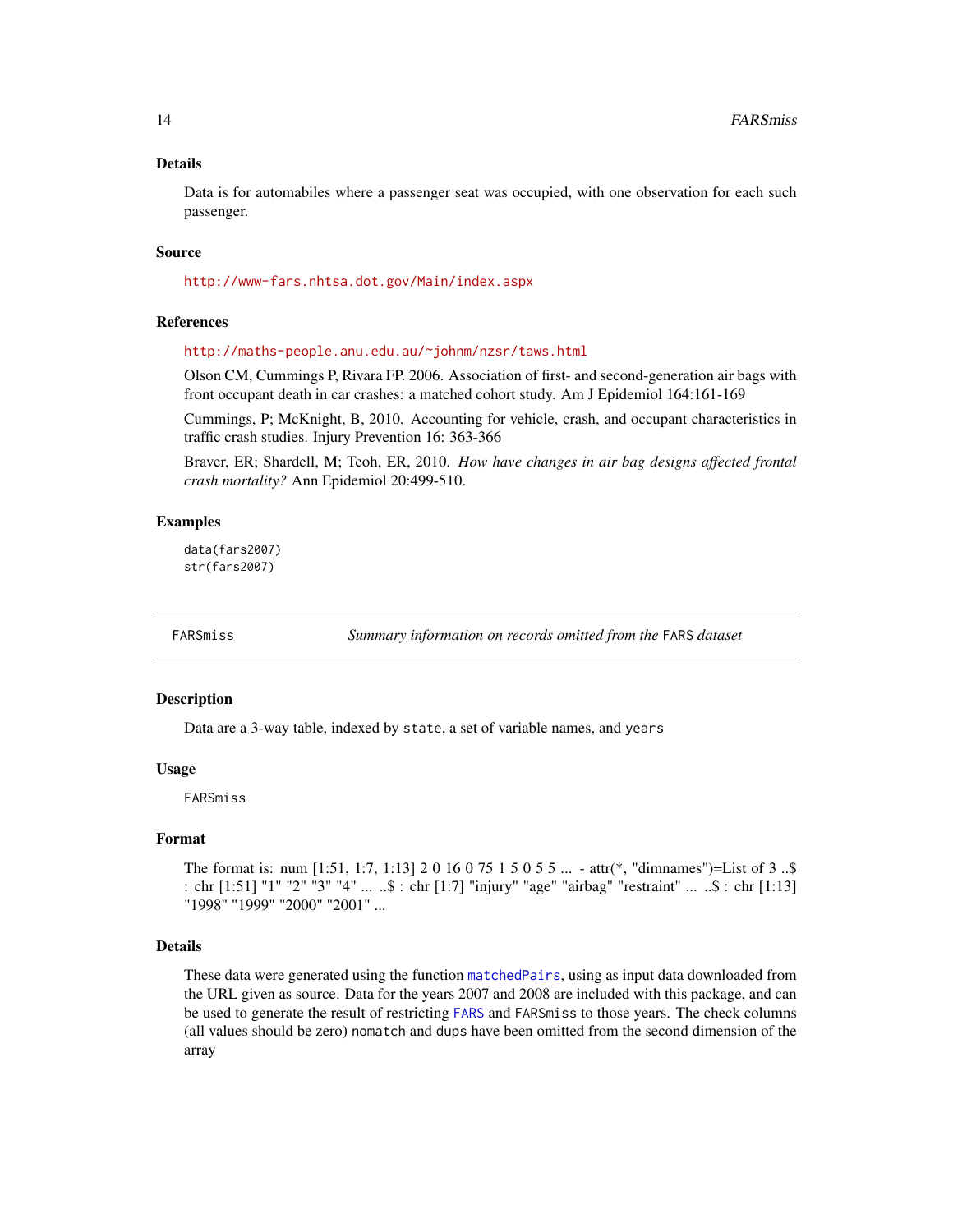#### <span id="page-13-0"></span>Details

Data is for automabiles where a passenger seat was occupied, with one observation for each such passenger.

#### Source

<http://www-fars.nhtsa.dot.gov/Main/index.aspx>

#### References

<http://maths-people.anu.edu.au/~johnm/nzsr/taws.html>

Olson CM, Cummings P, Rivara FP. 2006. Association of first- and second-generation air bags with front occupant death in car crashes: a matched cohort study. Am J Epidemiol 164:161-169

Cummings, P; McKnight, B, 2010. Accounting for vehicle, crash, and occupant characteristics in traffic crash studies. Injury Prevention 16: 363-366

Braver, ER; Shardell, M; Teoh, ER, 2010. *How have changes in air bag designs affected frontal crash mortality?* Ann Epidemiol 20:499-510.

#### Examples

data(fars2007) str(fars2007)

<span id="page-13-1"></span>

FARSmiss *Summary information on records omitted from the* FARS *dataset*

### Description

Data are a 3-way table, indexed by state, a set of variable names, and years

#### Usage

FARSmiss

#### Format

The format is: num [1:51, 1:7, 1:13] 2 0 16 0 75 1 5 0 5 5 ... - attr(\*, "dimnames")=List of 3 ..\$ : chr [1:51] "1" "2" "3" "4" ... ..\$ : chr [1:7] "injury" "age" "airbag" "restraint" ... ..\$ : chr [1:13] "1998" "1999" "2000" "2001" ...

#### Details

These data were generated using the function [matchedPairs](#page-18-1), using as input data downloaded from the URL given as source. Data for the years 2007 and 2008 are included with this package, and can be used to generate the result of restricting [FARS](#page-10-1) and FARSmiss to those years. The check columns (all values should be zero) nomatch and dups have been omitted from the second dimension of the array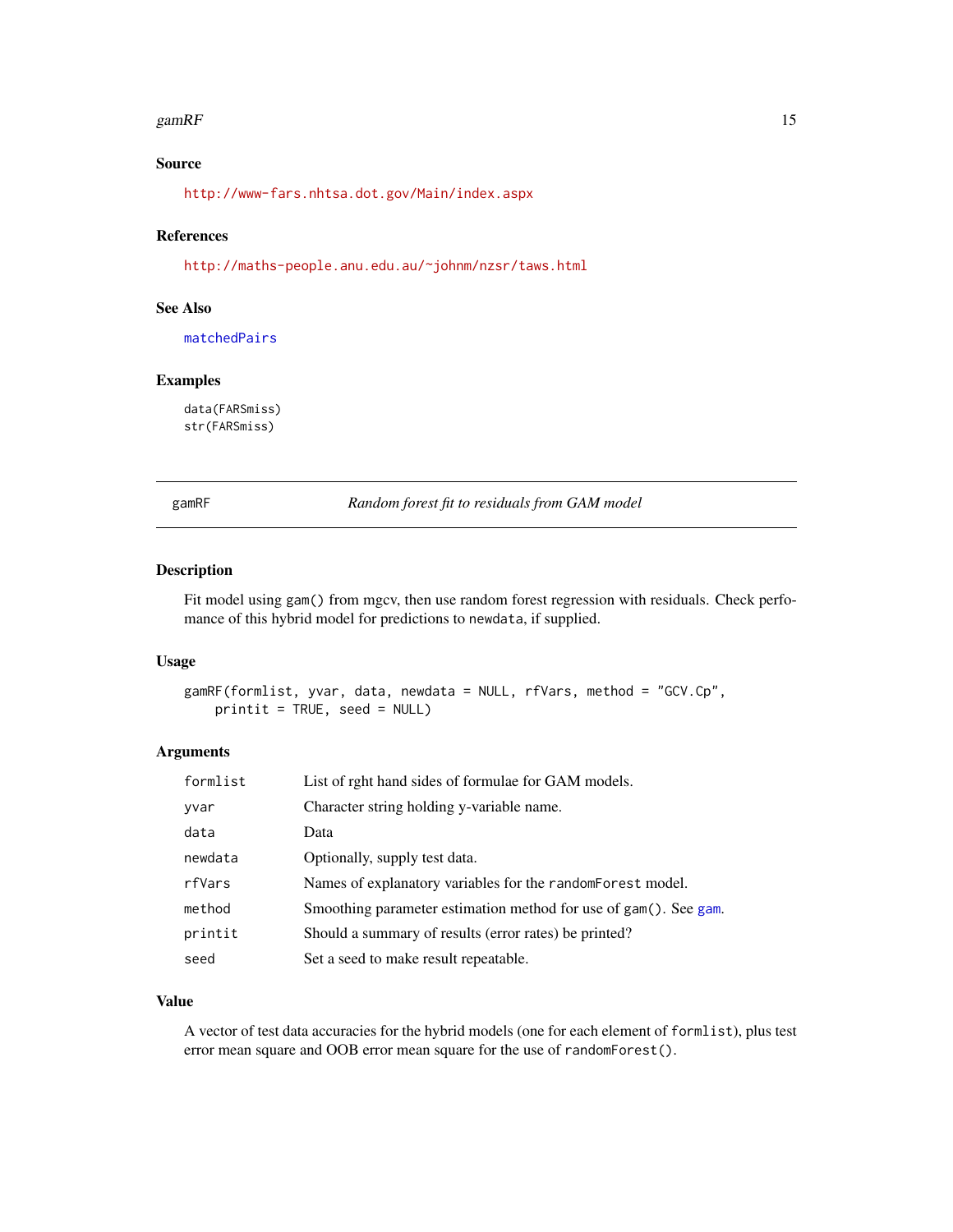#### <span id="page-14-0"></span>gamRF  $\qquad 15$

## Source

<http://www-fars.nhtsa.dot.gov/Main/index.aspx>

## References

<http://maths-people.anu.edu.au/~johnm/nzsr/taws.html>

## See Also

[matchedPairs](#page-18-1)

## Examples

data(FARSmiss) str(FARSmiss)

gamRF *Random forest fit to residuals from GAM model*

#### Description

Fit model using gam() from mgcv, then use random forest regression with residuals. Check perfomance of this hybrid model for predictions to newdata, if supplied.

#### Usage

```
gamRF(formlist, yvar, data, newdata = NULL, rfVars, method = "GCV.Cp",
   printit = TRUE, seed = NULL)
```
## Arguments

| formlist | List of rght hand sides of formulae for GAM models.              |
|----------|------------------------------------------------------------------|
| yvar     | Character string holding y-variable name.                        |
| data     | Data                                                             |
| newdata  | Optionally, supply test data.                                    |
| rfVars   | Names of explanatory variables for the random Forest model.      |
| method   | Smoothing parameter estimation method for use of gam(). See gam. |
| printit  | Should a summary of results (error rates) be printed?            |
| seed     | Set a seed to make result repeatable.                            |

#### Value

A vector of test data accuracies for the hybrid models (one for each element of formlist), plus test error mean square and OOB error mean square for the use of randomForest().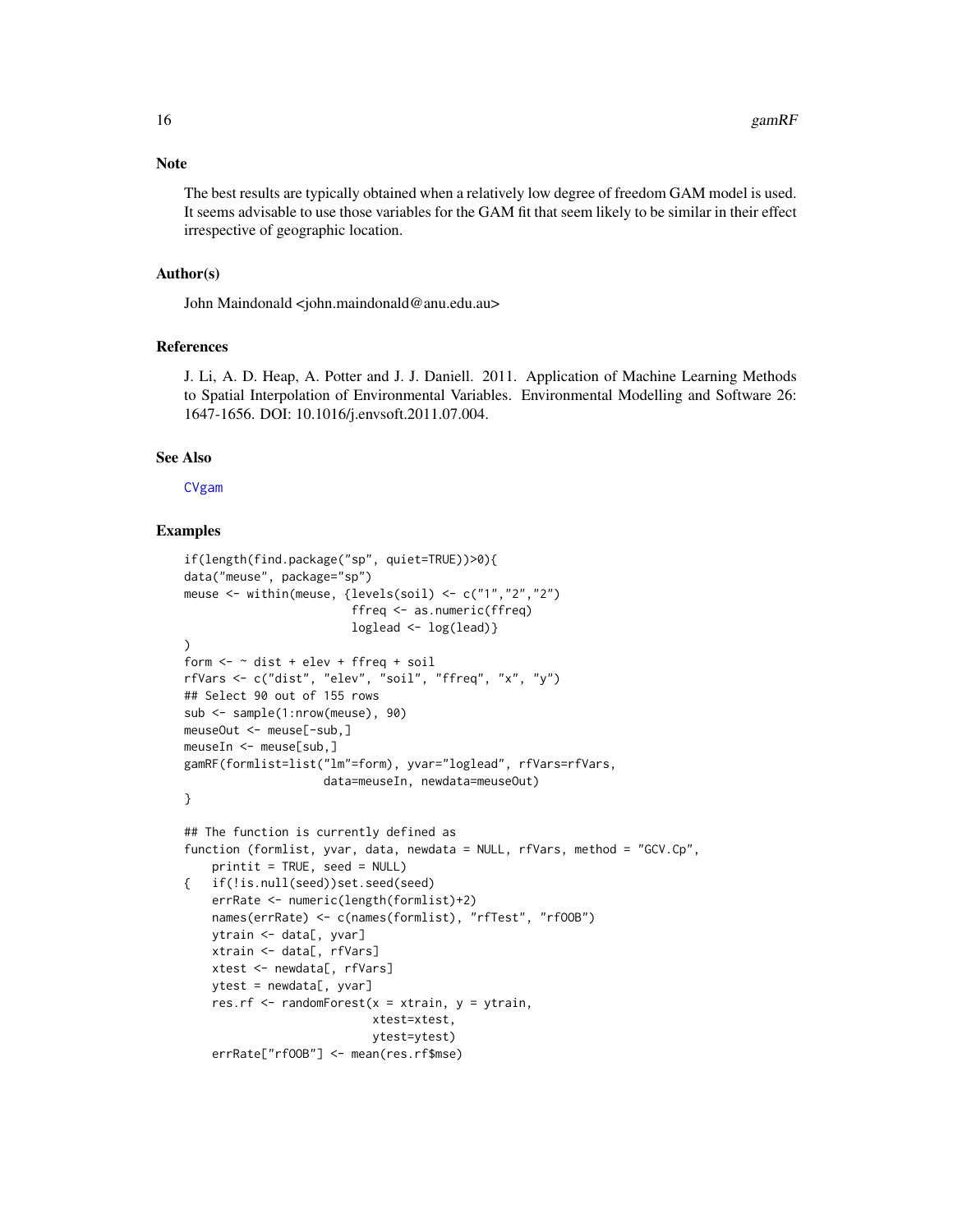#### <span id="page-15-0"></span>**Note**

The best results are typically obtained when a relatively low degree of freedom GAM model is used. It seems advisable to use those variables for the GAM fit that seem likely to be similar in their effect irrespective of geographic location.

#### Author(s)

John Maindonald <john.maindonald@anu.edu.au>

#### References

J. Li, A. D. Heap, A. Potter and J. J. Daniell. 2011. Application of Machine Learning Methods to Spatial Interpolation of Environmental Variables. Environmental Modelling and Software 26: 1647-1656. DOI: 10.1016/j.envsoft.2011.07.004.

#### See Also

[CVgam](#page-8-1)

#### Examples

```
if(length(find.package("sp", quiet=TRUE))>0){
data("meuse", package="sp")
meuse <- within(meuse, {levels(soil) <- c("1","2","2")
                        ffreq <- as.numeric(ffreq)
                        loglead < -log(lead)\lambdaform \leq \sim dist + elev + ffreq + soil
rfVars <- c("dist", "elev", "soil", "ffreq", "x", "y")
## Select 90 out of 155 rows
sub <- sample(1:nrow(meuse), 90)
meuseOut <- meuse[-sub,]
meuseIn <- meuse[sub,]
gamRF(formlist=list("lm"=form), yvar="loglead", rfVars=rfVars,
                    data=meuseIn, newdata=meuseOut)
}
## The function is currently defined as
function (formlist, yvar, data, newdata = NULL, rfVars, method = "GCV.Cp",
   printit = TRUE, seed = NULL)
{ if(!is.null(seed))set.seed(seed)
   errRate <- numeric(length(formlist)+2)
   names(errRate) <- c(names(formlist), "rfTest", "rfOOB")
   ytrain <- data[, yvar]
   xtrain <- data[, rfVars]
    xtest <- newdata[, rfVars]
   ytest = newdata[, yvar]
    res.rf \leq randomForest(x = xtrain, y = ytrain,
                           xtest=xtest,
                           ytest=ytest)
    errRate["rfOOB"] <- mean(res.rf$mse)
```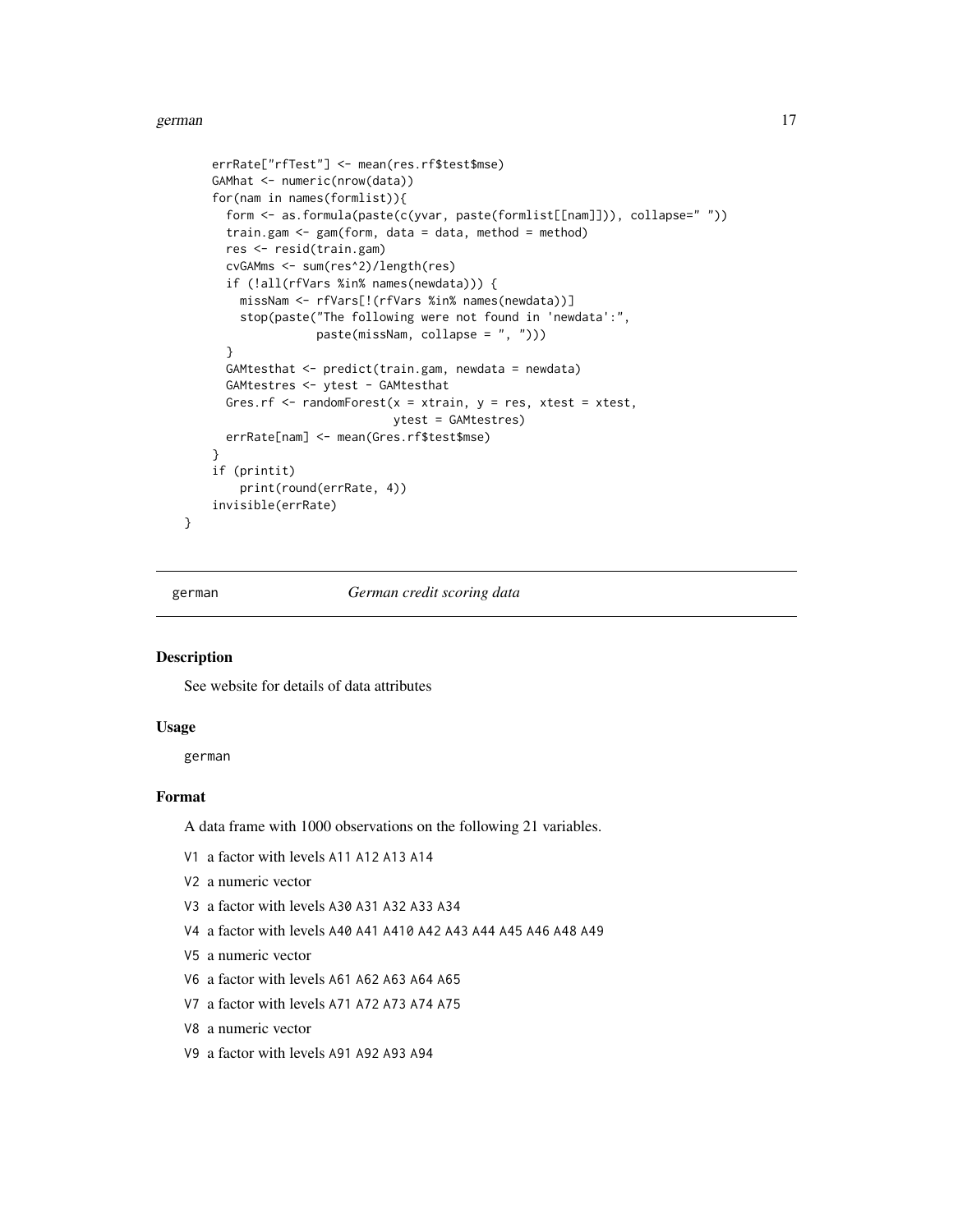#### <span id="page-16-0"></span>german and the set of the set of the set of the set of the set of the set of the set of the set of the set of the set of the set of the set of the set of the set of the set of the set of the set of the set of the set of th

```
errRate["rfTest"] <- mean(res.rf$test$mse)
GAMhat <- numeric(nrow(data))
for(nam in names(formlist)){
 form <- as.formula(paste(c(yvar, paste(formlist[[nam]])), collapse=" "))
 train.gam \leq gam(form, data = data, method = method)
 res <- resid(train.gam)
 cvGAMms <- sum(res^2)/length(res)
 if (!all(rfVars %in% names(newdata))) {
   missNam <- rfVars[!(rfVars %in% names(newdata))]
   stop(paste("The following were not found in 'newdata':",
               paste(missNam, collapse = ", ")))
  }
 GAMtesthat <- predict(train.gam, newdata = newdata)
 GAMtestres <- ytest - GAMtesthat
 Gres.rf \leq randomForest(x = xtrain, y = res, xtest = xtest,
                          ytest = GAMtestres)
 errRate[nam] <- mean(Gres.rf$test$mse)
}
if (printit)
   print(round(errRate, 4))
invisible(errRate)
```
}

german *German credit scoring data*

#### Description

See website for details of data attributes

#### Usage

german

## Format

A data frame with 1000 observations on the following 21 variables.

- V1 a factor with levels A11 A12 A13 A14
- V2 a numeric vector
- V3 a factor with levels A30 A31 A32 A33 A34
- V4 a factor with levels A40 A41 A410 A42 A43 A44 A45 A46 A48 A49
- V5 a numeric vector
- V6 a factor with levels A61 A62 A63 A64 A65
- V7 a factor with levels A71 A72 A73 A74 A75
- V8 a numeric vector
- V9 a factor with levels A91 A92 A93 A94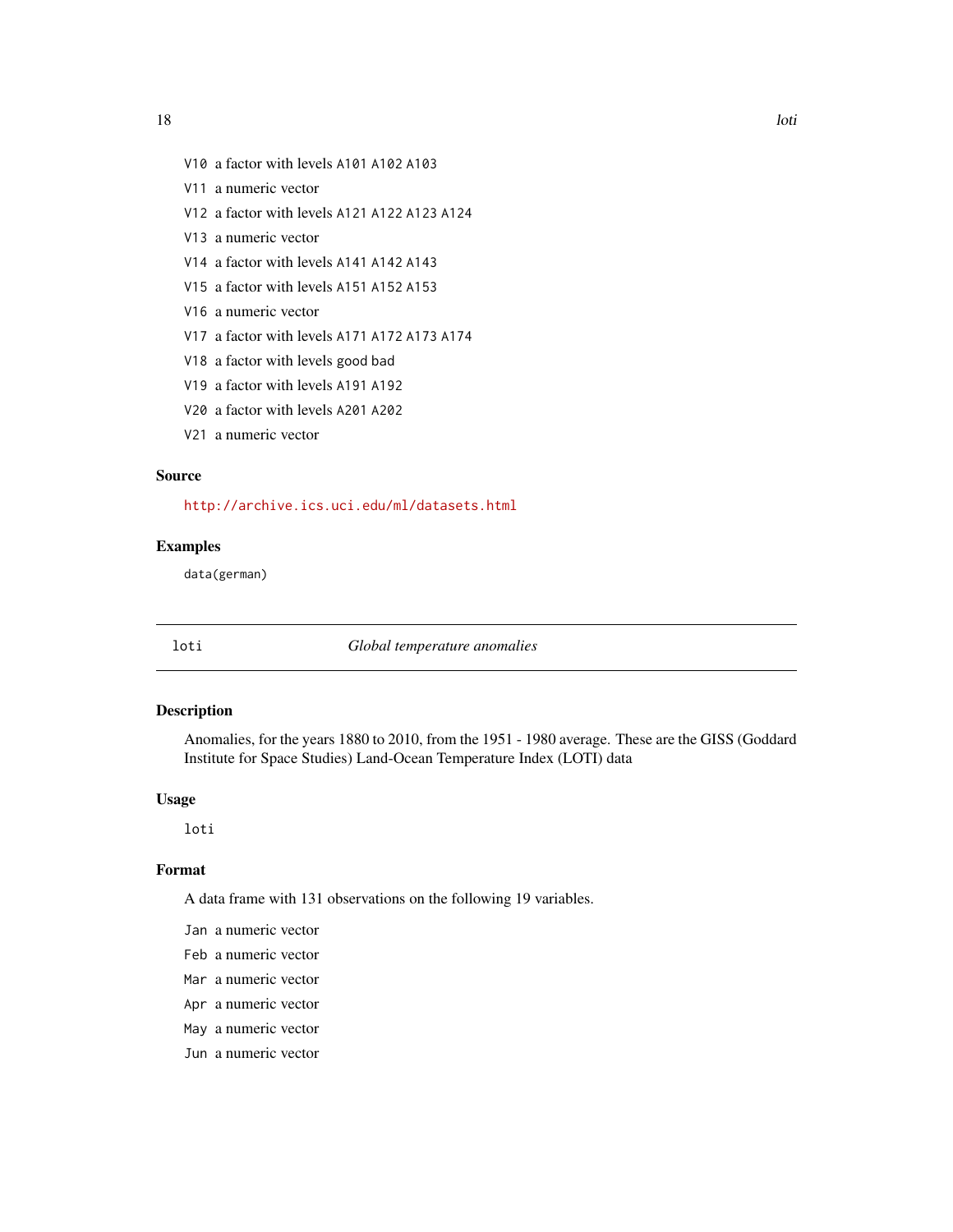- <span id="page-17-0"></span>V10 a factor with levels A101 A102 A103
- V11 a numeric vector
- V12 a factor with levels A121 A122 A123 A124
- V13 a numeric vector
- V14 a factor with levels A141 A142 A143
- V15 a factor with levels A151 A152 A153
- V16 a numeric vector
- V17 a factor with levels A171 A172 A173 A174
- V18 a factor with levels good bad
- V19 a factor with levels A191 A192
- V20 a factor with levels A201 A202
- V21 a numeric vector

#### Source

<http://archive.ics.uci.edu/ml/datasets.html>

## Examples

data(german)

loti *Global temperature anomalies*

#### Description

Anomalies, for the years 1880 to 2010, from the 1951 - 1980 average. These are the GISS (Goddard Institute for Space Studies) Land-Ocean Temperature Index (LOTI) data

#### Usage

loti

#### Format

A data frame with 131 observations on the following 19 variables.

- Jan a numeric vector
- Feb a numeric vector
- Mar a numeric vector
- Apr a numeric vector
- May a numeric vector
- Jun a numeric vector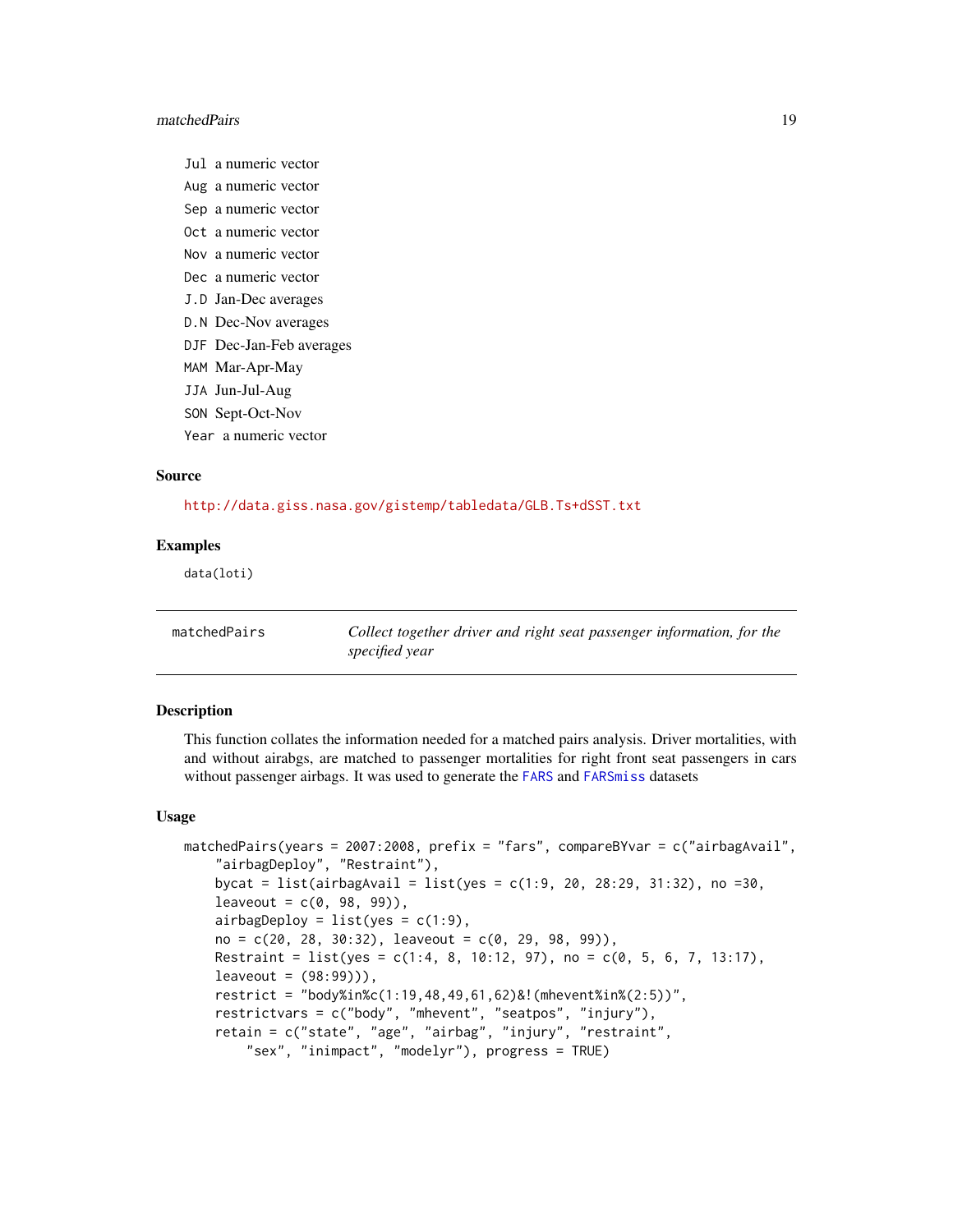#### <span id="page-18-0"></span>matchedPairs 19

- Jul a numeric vector
- Aug a numeric vector
- Sep a numeric vector
- Oct a numeric vector
- Nov a numeric vector
- Dec a numeric vector
- J.D Jan-Dec averages
- D.N Dec-Nov averages
- DJF Dec-Jan-Feb averages
- MAM Mar-Apr-May
- JJA Jun-Jul-Aug
- SON Sept-Oct-Nov
- Year a numeric vector

#### Source

<http://data.giss.nasa.gov/gistemp/tabledata/GLB.Ts+dSST.txt>

#### Examples

data(loti)

<span id="page-18-1"></span>matchedPairs *Collect together driver and right seat passenger information, for the specified year*

#### Description

This function collates the information needed for a matched pairs analysis. Driver mortalities, with and without airabgs, are matched to passenger mortalities for right front seat passengers in cars without passenger airbags. It was used to generate the [FARS](#page-10-1) and [FARSmiss](#page-13-1) datasets

#### Usage

```
matchedPairs(years = 2007:2008, prefix = "fars", compareBYvar = c("airbagAvail",
    "airbagDeploy", "Restraint"),
   bycat = list(airbagAvail = list(yes = c(1:9, 20, 28:29, 31:32), no =30,
   leaveout = c(0, 98, 99),
   airbagDeploy = list(yes = c(1:9),no = c(20, 28, 30:32), leaveout = c(0, 29, 98, 99),
   Restraint = list(yes = c(1:4, 8, 10:12, 97), no = c(0, 5, 6, 7, 13:17),
   leaveout = (98:99)),
   restrict = "body%in%c(1:19,48,49,61,62)&!(mhevent%in%(2:5))",
   restrictvars = c("body", "mhevent", "seatpos", "injury"),
   retain = c("state", "age", "airbag", "injury", "restraint",
        "sex", "inimpact", "modelyr"), progress = TRUE)
```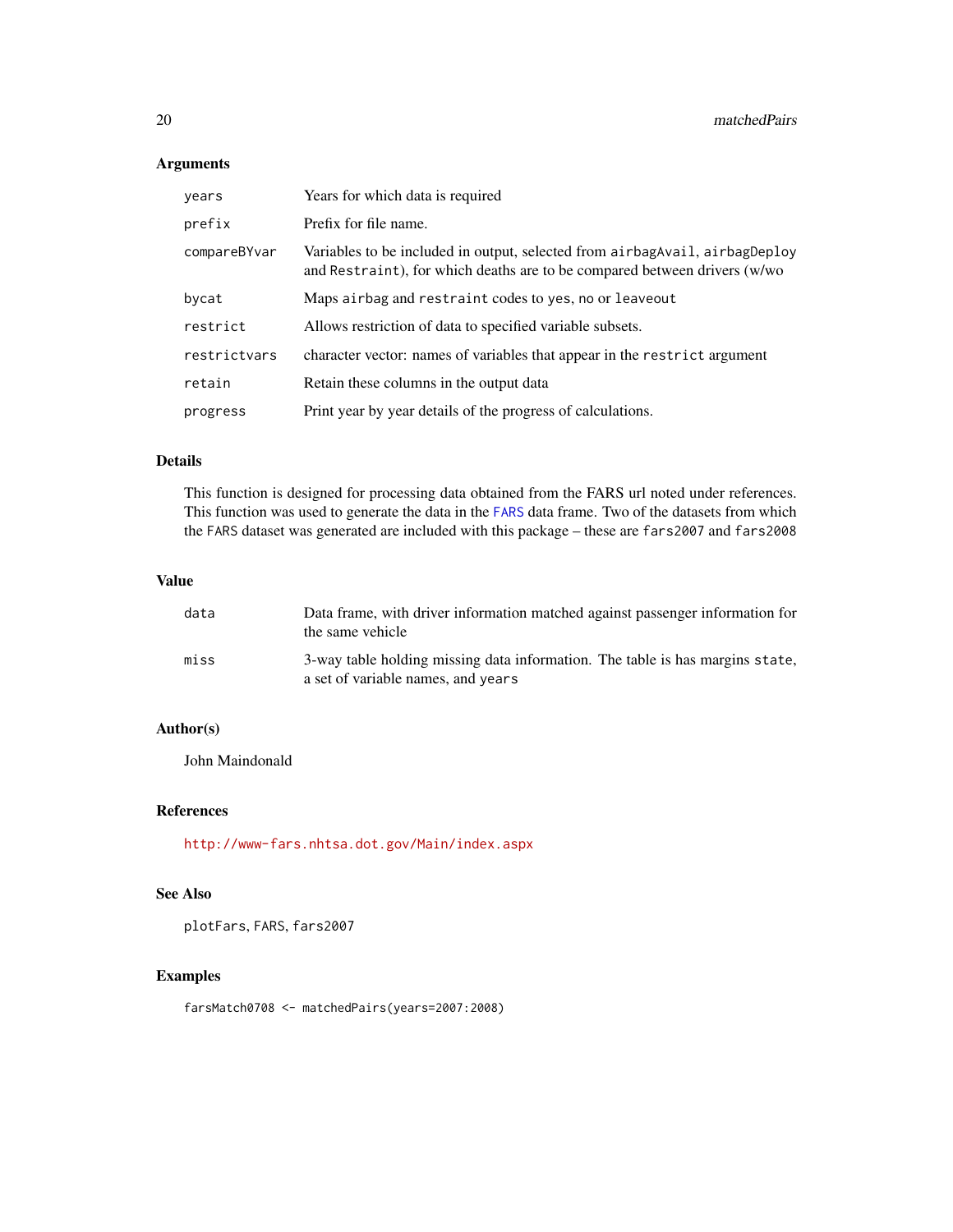## Arguments

| years        | Years for which data is required                                                                                                                         |
|--------------|----------------------------------------------------------------------------------------------------------------------------------------------------------|
| prefix       | Prefix for file name.                                                                                                                                    |
| compareBYvar | Variables to be included in output, selected from airbagAvail, airbagDeploy<br>and Restraint), for which deaths are to be compared between drivers (w/wo |
| bycat        | Maps airbag and restraint codes to yes, no or leaveout                                                                                                   |
| restrict     | Allows restriction of data to specified variable subsets.                                                                                                |
| restrictvars | character vector: names of variables that appear in the restrict argument                                                                                |
| retain       | Retain these columns in the output data                                                                                                                  |
| progress     | Print year by year details of the progress of calculations.                                                                                              |

## Details

This function is designed for processing data obtained from the FARS url noted under references. This function was used to generate the data in the [FARS](#page-10-1) data frame. Two of the datasets from which the FARS dataset was generated are included with this package – these are fars2007 and fars2008

#### Value

| data | Data frame, with driver information matched against passenger information for<br>the same vehicle                   |
|------|---------------------------------------------------------------------------------------------------------------------|
| miss | 3-way table holding missing data information. The table is has margins state,<br>a set of variable names, and years |

## Author(s)

John Maindonald

## References

<http://www-fars.nhtsa.dot.gov/Main/index.aspx>

## See Also

plotFars, FARS, fars2007

## Examples

farsMatch0708 <- matchedPairs(years=2007:2008)

<span id="page-19-0"></span>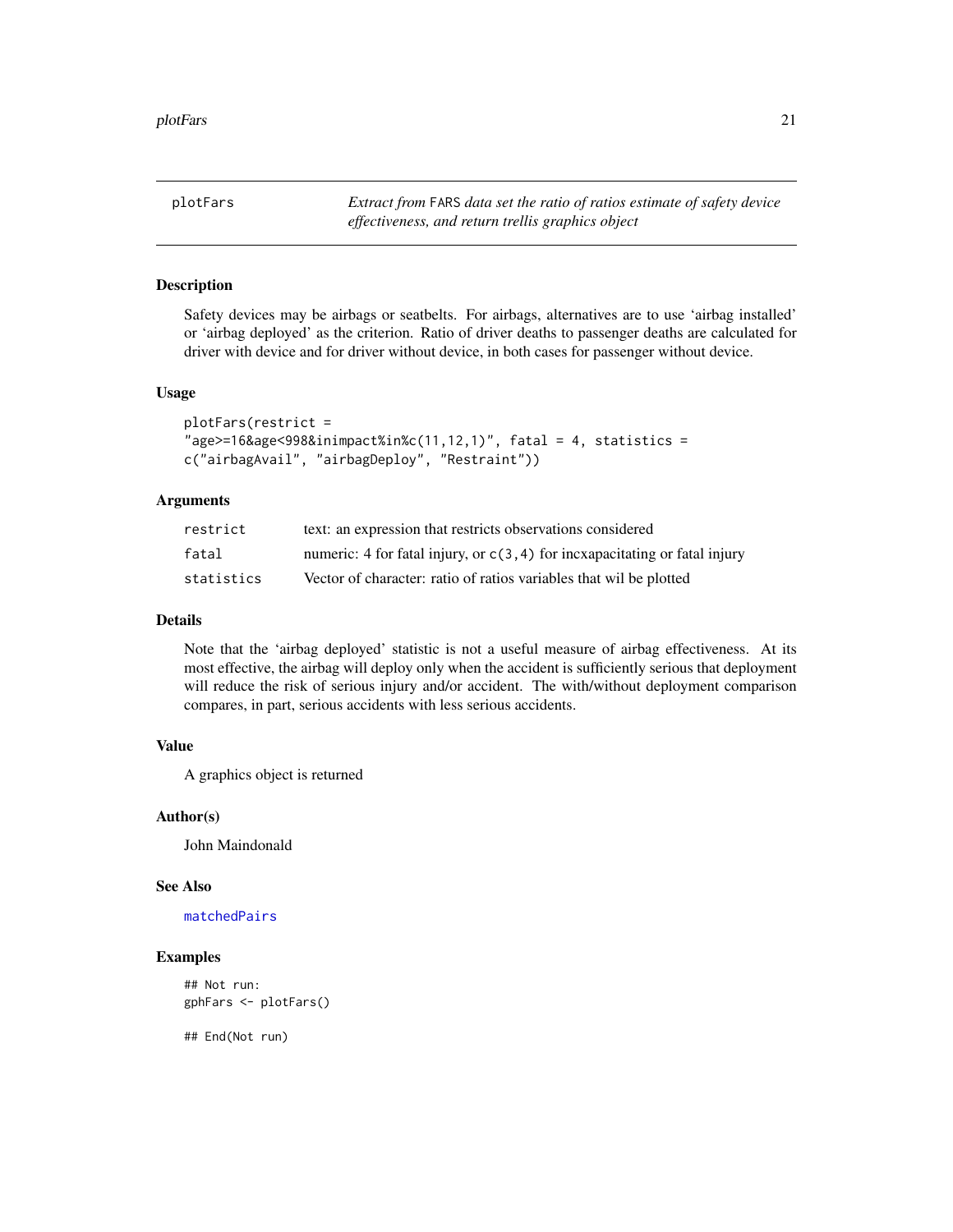<span id="page-20-0"></span>plotFars *Extract from* FARS *data set the ratio of ratios estimate of safety device effectiveness, and return trellis graphics object*

#### Description

Safety devices may be airbags or seatbelts. For airbags, alternatives are to use 'airbag installed' or 'airbag deployed' as the criterion. Ratio of driver deaths to passenger deaths are calculated for driver with device and for driver without device, in both cases for passenger without device.

#### Usage

```
plotFars(restrict =
"age \geq 16\&age \leq 998\&in \text{impact}\% \text{in}\% \text{c}(11,12,1)'', fatal = 4, statistics =
c("airbagAvail", "airbagDeploy", "Restraint"))
```
#### Arguments

| restrict   | text: an expression that restricts observations considered                    |
|------------|-------------------------------------------------------------------------------|
| fatal      | numeric: 4 for fatal injury, or $c(3, 4)$ for incxapacitating or fatal injury |
| statistics | Vector of character: ratio of ratios variables that wil be plotted            |

#### Details

Note that the 'airbag deployed' statistic is not a useful measure of airbag effectiveness. At its most effective, the airbag will deploy only when the accident is sufficiently serious that deployment will reduce the risk of serious injury and/or accident. The with/without deployment comparison compares, in part, serious accidents with less serious accidents.

## Value

A graphics object is returned

#### Author(s)

John Maindonald

#### See Also

[matchedPairs](#page-18-1)

## Examples

```
## Not run:
gphFars <- plotFars()
```
## End(Not run)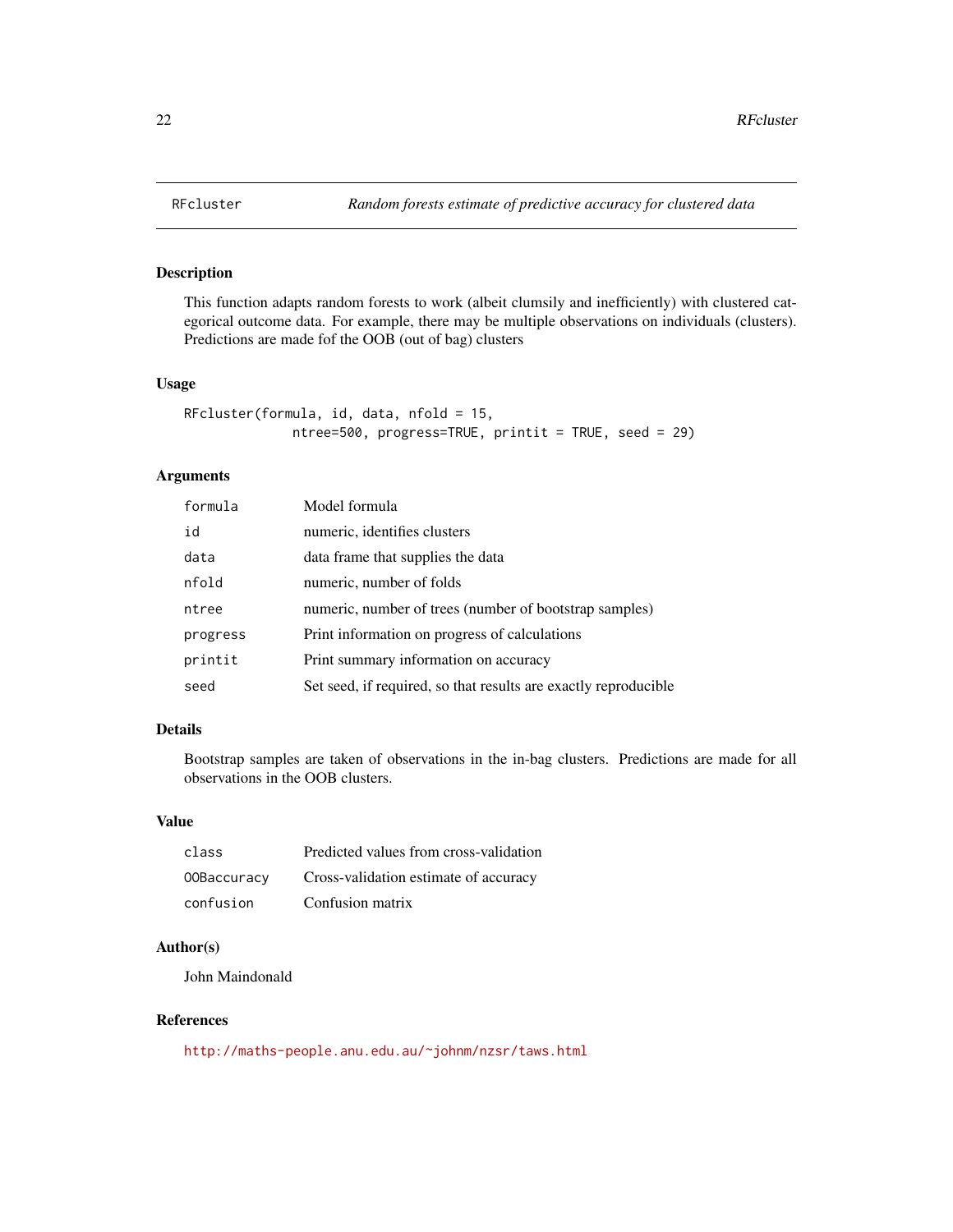<span id="page-21-0"></span>

## Description

This function adapts random forests to work (albeit clumsily and inefficiently) with clustered categorical outcome data. For example, there may be multiple observations on individuals (clusters). Predictions are made fof the OOB (out of bag) clusters

#### Usage

```
RFcluster(formula, id, data, nfold = 15,
             ntree=500, progress=TRUE, printit = TRUE, seed = 29)
```
### Arguments

| formula  | Model formula                                                   |
|----------|-----------------------------------------------------------------|
| id       | numeric, identifies clusters                                    |
| data     | data frame that supplies the data                               |
| nfold    | numeric, number of folds                                        |
| ntree    | numeric, number of trees (number of bootstrap samples)          |
| progress | Print information on progress of calculations                   |
| printit  | Print summary information on accuracy                           |
| seed     | Set seed, if required, so that results are exactly reproducible |

## Details

Bootstrap samples are taken of observations in the in-bag clusters. Predictions are made for all observations in the OOB clusters.

## Value

| class       | Predicted values from cross-validation |
|-------------|----------------------------------------|
| 00Baccuracy | Cross-validation estimate of accuracy  |
| confusion   | Confusion matrix                       |

#### Author(s)

John Maindonald

#### References

<http://maths-people.anu.edu.au/~johnm/nzsr/taws.html>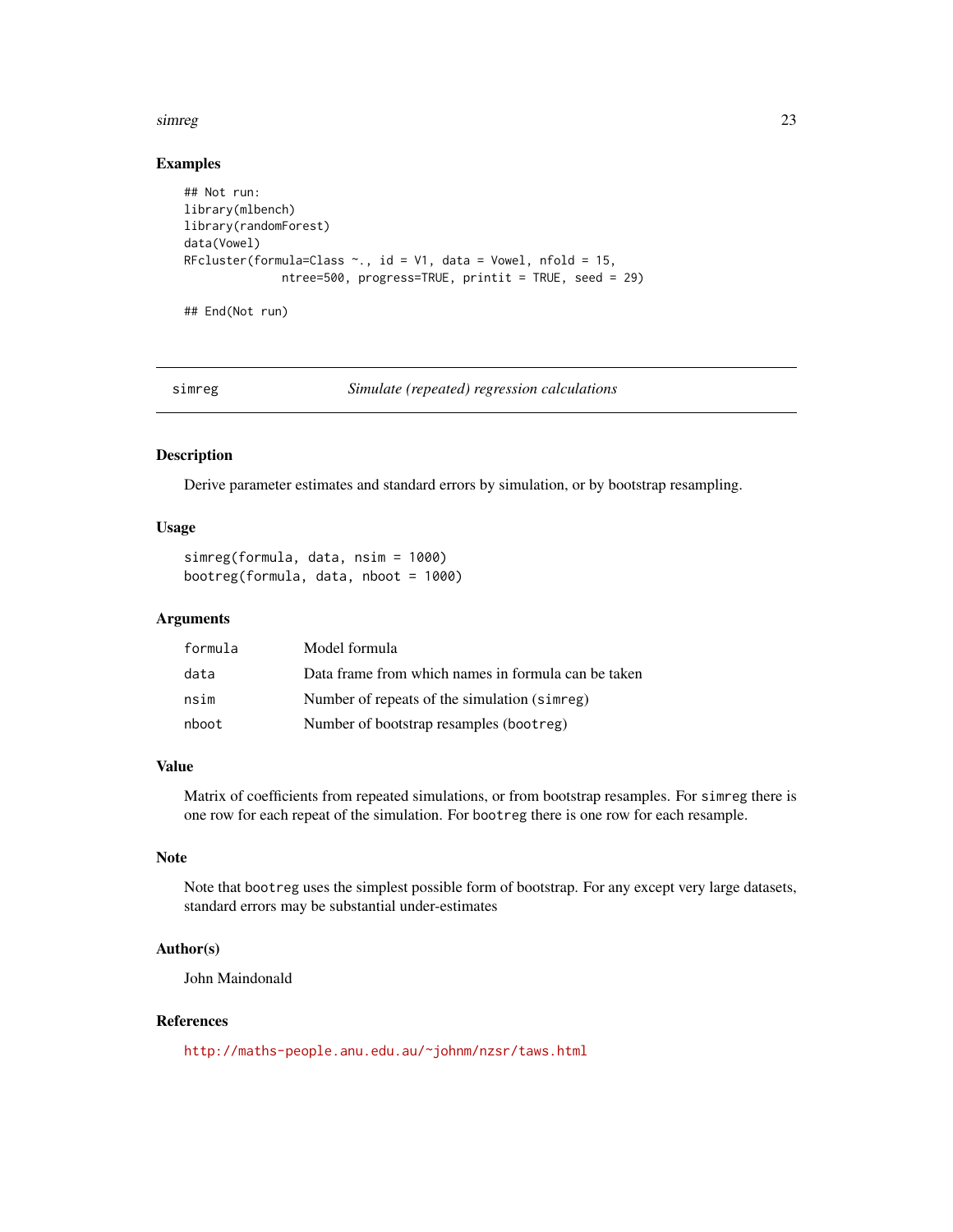#### <span id="page-22-0"></span>simreg 23

#### Examples

```
## Not run:
library(mlbench)
library(randomForest)
data(Vowel)
RFcluster(formula=Class \sim., id = V1, data = Vowel, nfold = 15,
              ntree=500, progress=TRUE, printit = TRUE, seed = 29)
```
## End(Not run)

simreg *Simulate (repeated) regression calculations*

#### Description

Derive parameter estimates and standard errors by simulation, or by bootstrap resampling.

#### Usage

```
simreg(formula, data, nsim = 1000)
bootreg(formula, data, nboot = 1000)
```
#### Arguments

| formula | Model formula                                       |
|---------|-----------------------------------------------------|
| data    | Data frame from which names in formula can be taken |
| nsim    | Number of repeats of the simulation (simreg)        |
| nboot   | Number of bootstrap resamples (bootreg)             |

#### Value

Matrix of coefficients from repeated simulations, or from bootstrap resamples. For simreg there is one row for each repeat of the simulation. For bootreg there is one row for each resample.

#### Note

Note that bootreg uses the simplest possible form of bootstrap. For any except very large datasets, standard errors may be substantial under-estimates

### Author(s)

John Maindonald

## References

<http://maths-people.anu.edu.au/~johnm/nzsr/taws.html>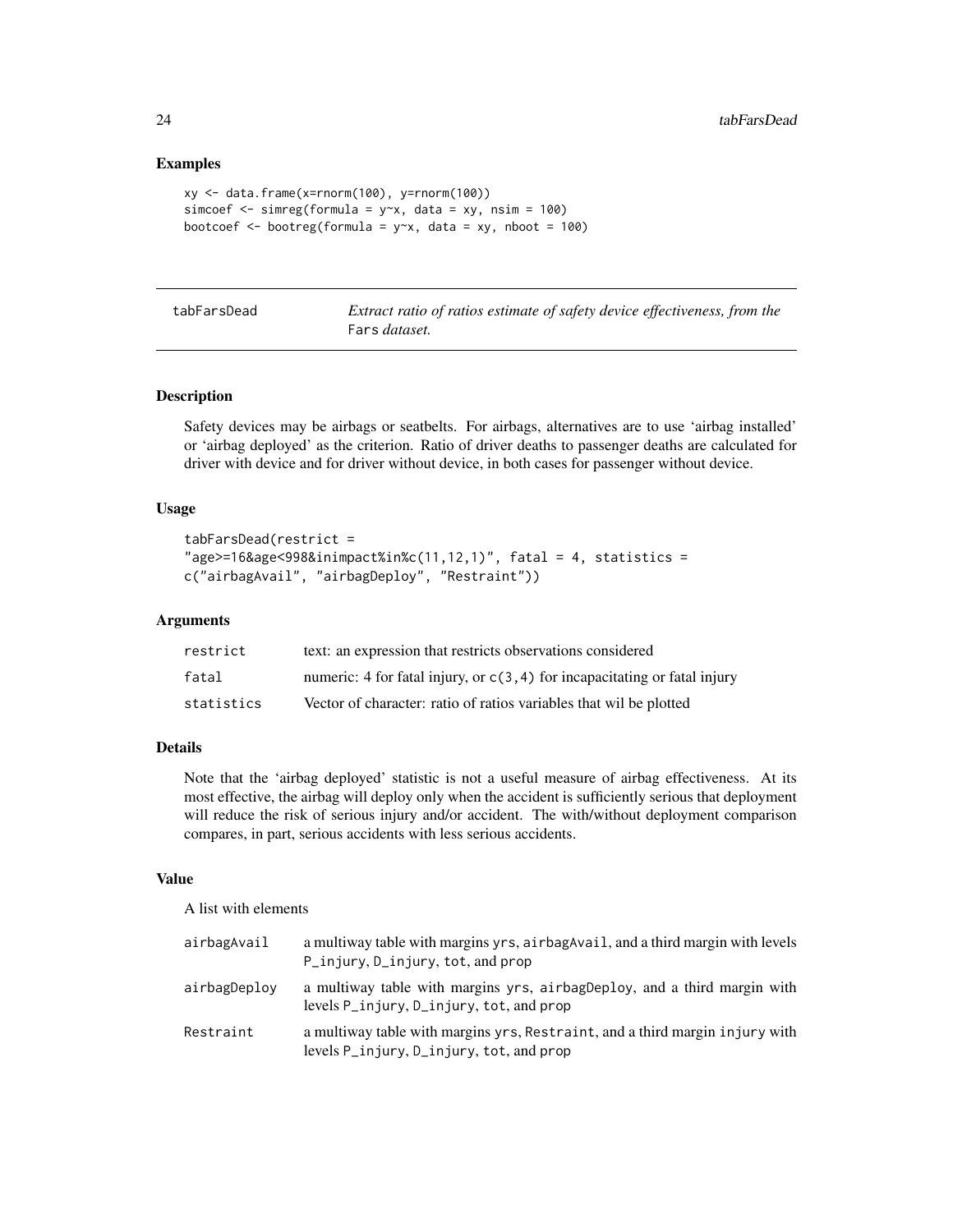#### Examples

```
xy <- data.frame(x=rnorm(100), y=rnorm(100))
simcoef \leq simreg(formula = y\geqx, data = xy, nsim = 100)
bootcoef \leq bootreg(formula = y\approx, data = xy, nboot = 100)
```
tabFarsDead *Extract ratio of ratios estimate of safety device effectiveness, from the* Fars *dataset.*

#### Description

Safety devices may be airbags or seatbelts. For airbags, alternatives are to use 'airbag installed' or 'airbag deployed' as the criterion. Ratio of driver deaths to passenger deaths are calculated for driver with device and for driver without device, in both cases for passenger without device.

#### Usage

```
tabFarsDead(restrict =
"age>=16&age<998&inimpact%in%c(11,12,1)", fatal = 4, statistics =c("airbagAvail", "airbagDeploy", "Restraint"))
```
#### Arguments

| restrict   | text: an expression that restricts observations considered                   |
|------------|------------------------------------------------------------------------------|
| fatal      | numeric: 4 for fatal injury, or $c(3, 4)$ for incapacitating or fatal injury |
| statistics | Vector of character: ratio of ratios variables that wil be plotted           |

#### Details

Note that the 'airbag deployed' statistic is not a useful measure of airbag effectiveness. At its most effective, the airbag will deploy only when the accident is sufficiently serious that deployment will reduce the risk of serious injury and/or accident. The with/without deployment comparison compares, in part, serious accidents with less serious accidents.

#### Value

A list with elements

| airbagAvail  | a multiway table with margins yrs, airbag Avail, and a third margin with levels<br>P_injury, D_injury, tot, and prop                                   |
|--------------|--------------------------------------------------------------------------------------------------------------------------------------------------------|
| airbagDeplov | a multiway table with margins yrs, airbagDeploy, and a third margin with<br>levels $P_{\text{inj}}(x, D_{\text{inj}}(x), \text{tot}, \text{and prop})$ |
| Restraint    | a multiway table with margins yrs, Restraint, and a third margin injury with<br>levels P_injury, D_injury, tot, and prop                               |

<span id="page-23-0"></span>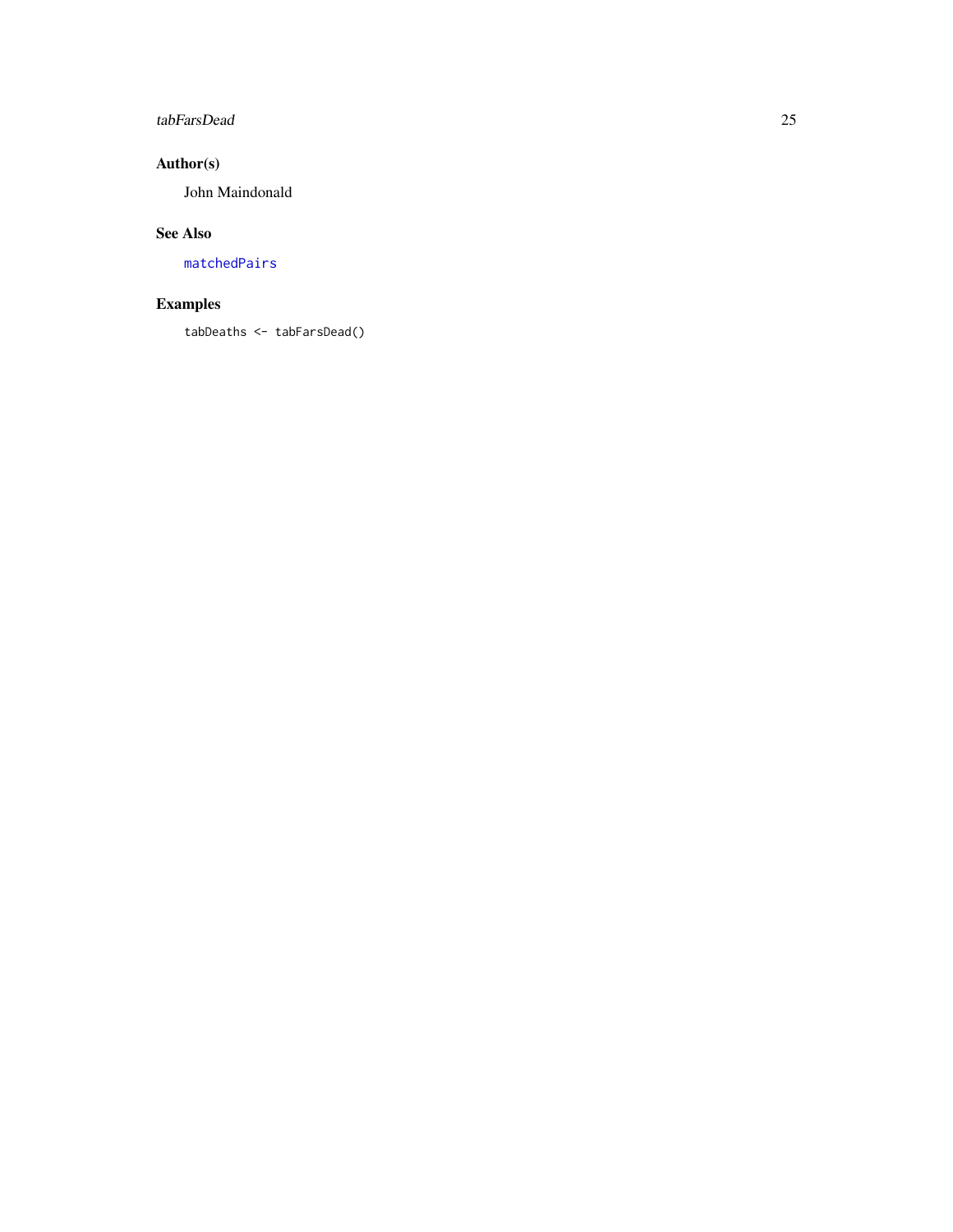## <span id="page-24-0"></span>tabFarsDead 25

## Author(s)

John Maindonald

## See Also

[matchedPairs](#page-18-1)

## Examples

tabDeaths <- tabFarsDead()